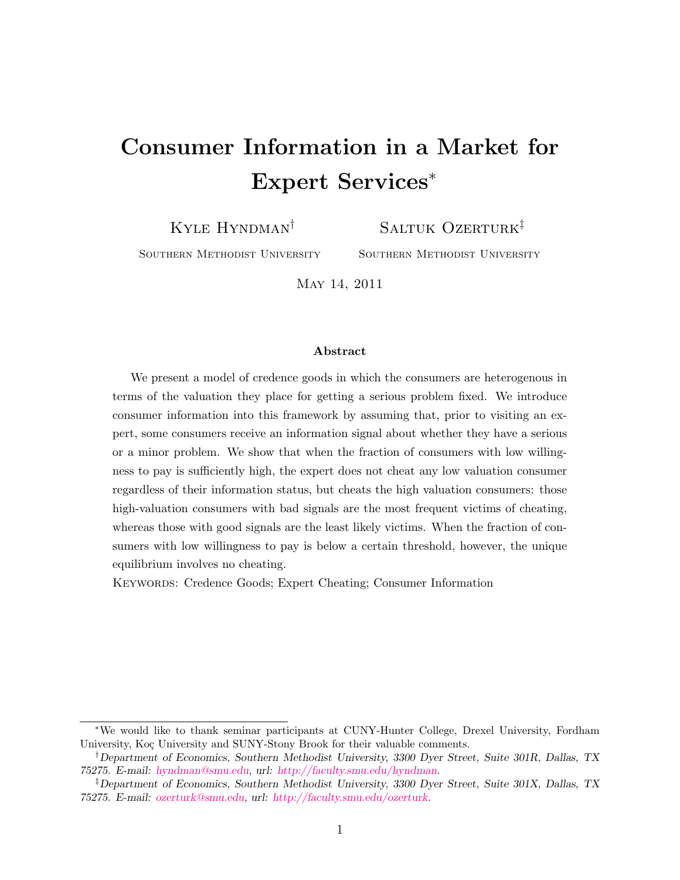# Consumer Information in a Market for Expert Services<sup>∗</sup>

Kyle Hyndman†

Saltuk Ozerturk‡

SOUTHERN METHODIST UNIVERSITY

SOUTHERN METHODIST UNIVERSITY

May 14, 2011

#### Abstract

We present a model of credence goods in which the consumers are heterogenous in terms of the valuation they place for getting a serious problem fixed. We introduce consumer information into this framework by assuming that, prior to visiting an expert, some consumers receive an information signal about whether they have a serious or a minor problem. We show that when the fraction of consumers with low willingness to pay is sufficiently high, the expert does not cheat any low valuation consumer regardless of their information status, but cheats the high valuation consumers: those high-valuation consumers with bad signals are the most frequent victims of cheating, whereas those with good signals are the least likely victims. When the fraction of consumers with low willingness to pay is below a certain threshold, however, the unique equilibrium involves no cheating.

Keywords: Credence Goods; Expert Cheating; Consumer Information

<sup>∗</sup>We would like to thank seminar participants at CUNY-Hunter College, Drexel University, Fordham University, Koç University and SUNY-Stony Brook for their valuable comments.

<sup>†</sup>Department of Economics, Southern Methodist University, 3300 Dyer Street, Suite 301R, Dallas, TX 75275. E-mail: [hyndman@smu.edu,](mailto:hyndman@smu.edu) url: [http://faculty.smu.edu/hyndman.](http://faculty.smu.edu/hyndman)

<sup>‡</sup>Department of Economics, Southern Methodist University, 3300 Dyer Street, Suite 301X, Dallas, TX 75275. E-mail: [ozerturk@smu.edu,](mailto:ozerturk@smu.edu) url: [http://faculty.smu.edu/ozerturk.](http://faculty.smu.edu/ozerturk)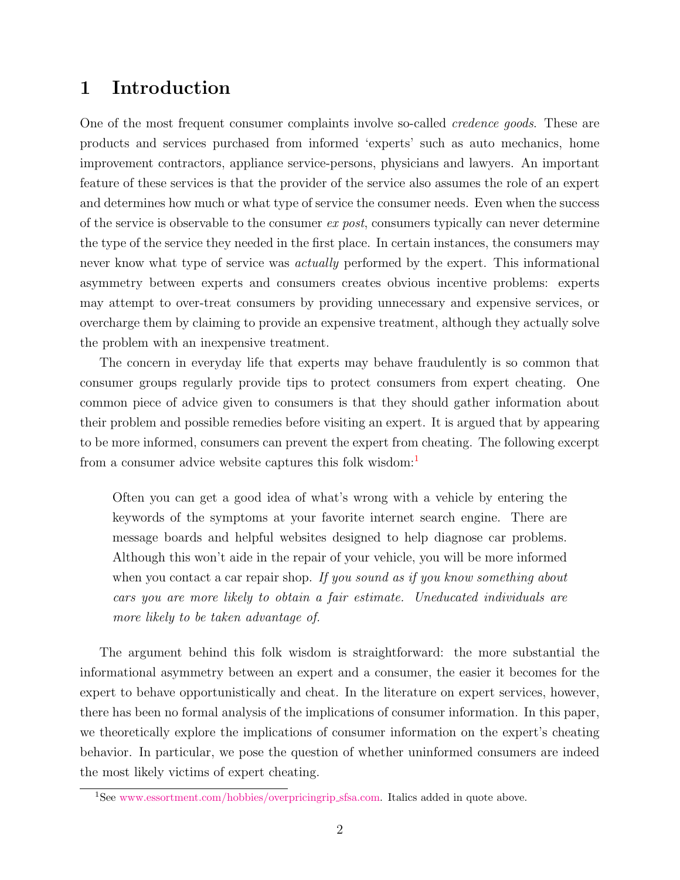### 1 Introduction

One of the most frequent consumer complaints involve so-called credence goods. These are products and services purchased from informed 'experts' such as auto mechanics, home improvement contractors, appliance service-persons, physicians and lawyers. An important feature of these services is that the provider of the service also assumes the role of an expert and determines how much or what type of service the consumer needs. Even when the success of the service is observable to the consumer  $ex$  post, consumers typically can never determine the type of the service they needed in the first place. In certain instances, the consumers may never know what type of service was *actually* performed by the expert. This informational asymmetry between experts and consumers creates obvious incentive problems: experts may attempt to over-treat consumers by providing unnecessary and expensive services, or overcharge them by claiming to provide an expensive treatment, although they actually solve the problem with an inexpensive treatment.

The concern in everyday life that experts may behave fraudulently is so common that consumer groups regularly provide tips to protect consumers from expert cheating. One common piece of advice given to consumers is that they should gather information about their problem and possible remedies before visiting an expert. It is argued that by appearing to be more informed, consumers can prevent the expert from cheating. The following excerpt from a consumer advice website captures this folk wisdom:

Often you can get a good idea of what's wrong with a vehicle by entering the keywords of the symptoms at your favorite internet search engine. There are message boards and helpful websites designed to help diagnose car problems. Although this won't aide in the repair of your vehicle, you will be more informed when you contact a car repair shop. If you sound as if you know something about cars you are more likely to obtain a fair estimate. Uneducated individuals are more likely to be taken advantage of.

The argument behind this folk wisdom is straightforward: the more substantial the informational asymmetry between an expert and a consumer, the easier it becomes for the expert to behave opportunistically and cheat. In the literature on expert services, however, there has been no formal analysis of the implications of consumer information. In this paper, we theoretically explore the implications of consumer information on the expert's cheating behavior. In particular, we pose the question of whether uninformed consumers are indeed the most likely victims of expert cheating.

<span id="page-1-0"></span><sup>1</sup>See [www.essortment.com/hobbies/overpricingrip](file:www.essortment.com/hobbies/overpricingrip_sfsa.com) sfsa.com. Italics added in quote above.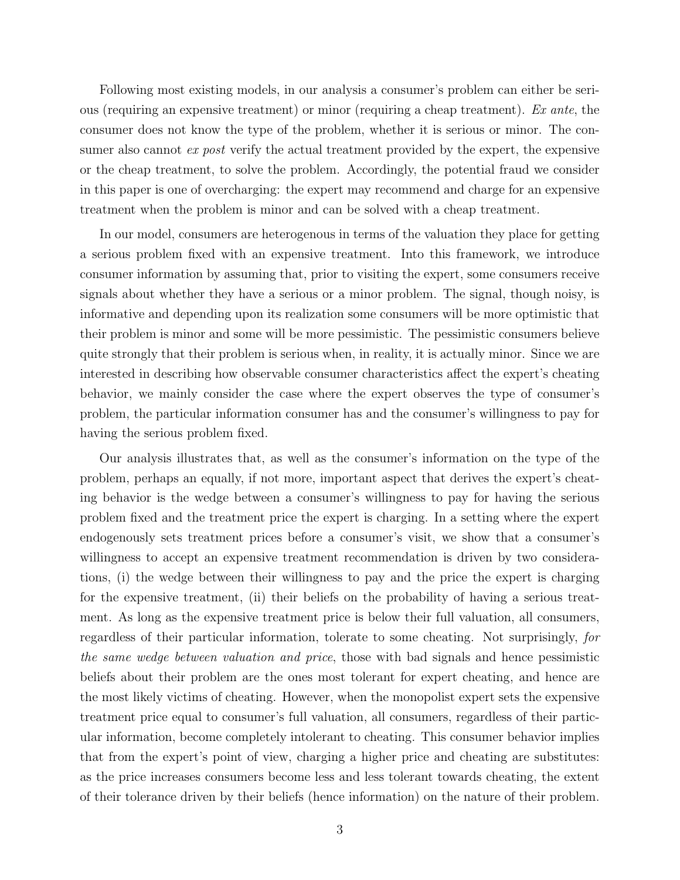Following most existing models, in our analysis a consumer's problem can either be serious (requiring an expensive treatment) or minor (requiring a cheap treatment). Ex ante, the consumer does not know the type of the problem, whether it is serious or minor. The consumer also cannot *ex post* verify the actual treatment provided by the expert, the expensive or the cheap treatment, to solve the problem. Accordingly, the potential fraud we consider in this paper is one of overcharging: the expert may recommend and charge for an expensive treatment when the problem is minor and can be solved with a cheap treatment.

In our model, consumers are heterogenous in terms of the valuation they place for getting a serious problem fixed with an expensive treatment. Into this framework, we introduce consumer information by assuming that, prior to visiting the expert, some consumers receive signals about whether they have a serious or a minor problem. The signal, though noisy, is informative and depending upon its realization some consumers will be more optimistic that their problem is minor and some will be more pessimistic. The pessimistic consumers believe quite strongly that their problem is serious when, in reality, it is actually minor. Since we are interested in describing how observable consumer characteristics affect the expert's cheating behavior, we mainly consider the case where the expert observes the type of consumer's problem, the particular information consumer has and the consumer's willingness to pay for having the serious problem fixed.

Our analysis illustrates that, as well as the consumer's information on the type of the problem, perhaps an equally, if not more, important aspect that derives the expert's cheating behavior is the wedge between a consumer's willingness to pay for having the serious problem fixed and the treatment price the expert is charging. In a setting where the expert endogenously sets treatment prices before a consumer's visit, we show that a consumer's willingness to accept an expensive treatment recommendation is driven by two considerations, (i) the wedge between their willingness to pay and the price the expert is charging for the expensive treatment, (ii) their beliefs on the probability of having a serious treatment. As long as the expensive treatment price is below their full valuation, all consumers, regardless of their particular information, tolerate to some cheating. Not surprisingly, for the same wedge between valuation and price, those with bad signals and hence pessimistic beliefs about their problem are the ones most tolerant for expert cheating, and hence are the most likely victims of cheating. However, when the monopolist expert sets the expensive treatment price equal to consumer's full valuation, all consumers, regardless of their particular information, become completely intolerant to cheating. This consumer behavior implies that from the expert's point of view, charging a higher price and cheating are substitutes: as the price increases consumers become less and less tolerant towards cheating, the extent of their tolerance driven by their beliefs (hence information) on the nature of their problem.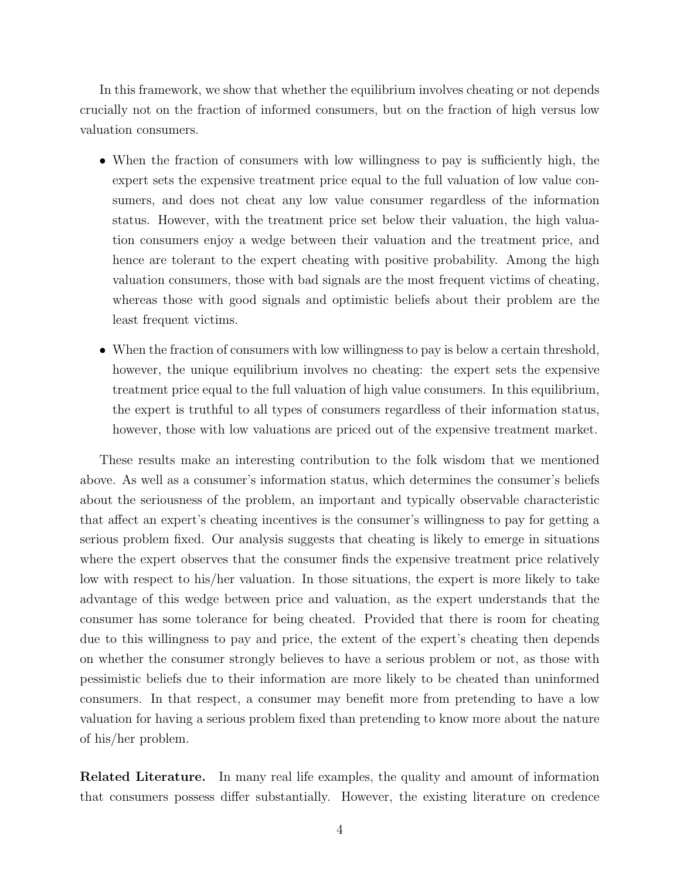In this framework, we show that whether the equilibrium involves cheating or not depends crucially not on the fraction of informed consumers, but on the fraction of high versus low valuation consumers.

- When the fraction of consumers with low willingness to pay is sufficiently high, the expert sets the expensive treatment price equal to the full valuation of low value consumers, and does not cheat any low value consumer regardless of the information status. However, with the treatment price set below their valuation, the high valuation consumers enjoy a wedge between their valuation and the treatment price, and hence are tolerant to the expert cheating with positive probability. Among the high valuation consumers, those with bad signals are the most frequent victims of cheating, whereas those with good signals and optimistic beliefs about their problem are the least frequent victims.
- When the fraction of consumers with low willingness to pay is below a certain threshold, however, the unique equilibrium involves no cheating: the expert sets the expensive treatment price equal to the full valuation of high value consumers. In this equilibrium, the expert is truthful to all types of consumers regardless of their information status, however, those with low valuations are priced out of the expensive treatment market.

These results make an interesting contribution to the folk wisdom that we mentioned above. As well as a consumer's information status, which determines the consumer's beliefs about the seriousness of the problem, an important and typically observable characteristic that affect an expert's cheating incentives is the consumer's willingness to pay for getting a serious problem fixed. Our analysis suggests that cheating is likely to emerge in situations where the expert observes that the consumer finds the expensive treatment price relatively low with respect to his/her valuation. In those situations, the expert is more likely to take advantage of this wedge between price and valuation, as the expert understands that the consumer has some tolerance for being cheated. Provided that there is room for cheating due to this willingness to pay and price, the extent of the expert's cheating then depends on whether the consumer strongly believes to have a serious problem or not, as those with pessimistic beliefs due to their information are more likely to be cheated than uninformed consumers. In that respect, a consumer may benefit more from pretending to have a low valuation for having a serious problem fixed than pretending to know more about the nature of his/her problem.

Related Literature. In many real life examples, the quality and amount of information that consumers possess differ substantially. However, the existing literature on credence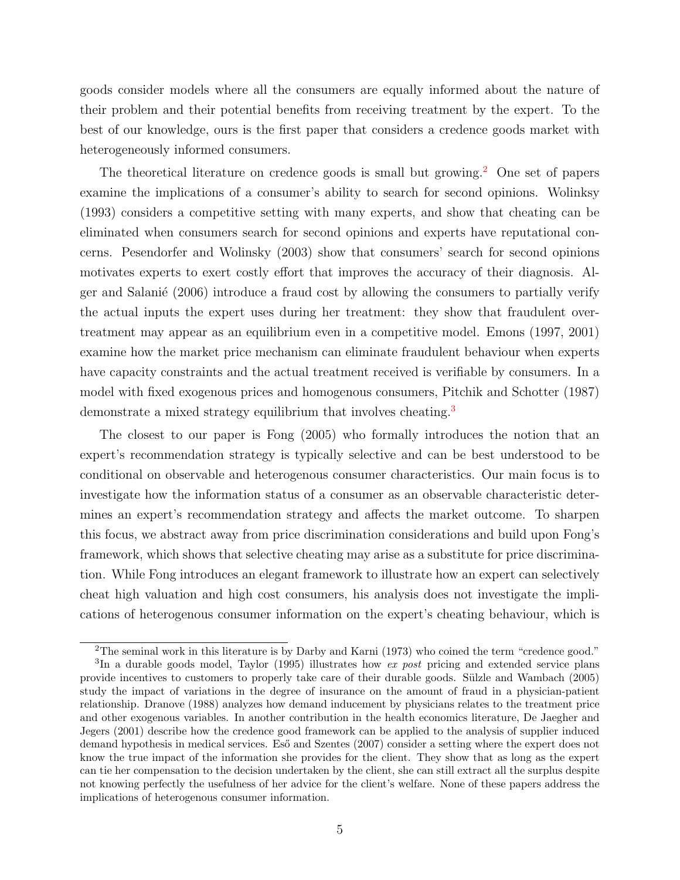goods consider models where all the consumers are equally informed about the nature of their problem and their potential benefits from receiving treatment by the expert. To the best of our knowledge, ours is the first paper that considers a credence goods market with heterogeneously informed consumers.

The theoretical literature on credence goods is small but growing.<sup>[2](#page-4-0)</sup> One set of papers examine the implications of a consumer's ability to search for second opinions. Wolinksy (1993) considers a competitive setting with many experts, and show that cheating can be eliminated when consumers search for second opinions and experts have reputational concerns. Pesendorfer and Wolinsky (2003) show that consumers' search for second opinions motivates experts to exert costly effort that improves the accuracy of their diagnosis. Alger and Salanié (2006) introduce a fraud cost by allowing the consumers to partially verify the actual inputs the expert uses during her treatment: they show that fraudulent overtreatment may appear as an equilibrium even in a competitive model. Emons (1997, 2001) examine how the market price mechanism can eliminate fraudulent behaviour when experts have capacity constraints and the actual treatment received is verifiable by consumers. In a model with fixed exogenous prices and homogenous consumers, Pitchik and Schotter (1987) demonstrate a mixed strategy equilibrium that involves cheating.<sup>[3](#page-4-1)</sup>

The closest to our paper is Fong (2005) who formally introduces the notion that an expert's recommendation strategy is typically selective and can be best understood to be conditional on observable and heterogenous consumer characteristics. Our main focus is to investigate how the information status of a consumer as an observable characteristic determines an expert's recommendation strategy and affects the market outcome. To sharpen this focus, we abstract away from price discrimination considerations and build upon Fong's framework, which shows that selective cheating may arise as a substitute for price discrimination. While Fong introduces an elegant framework to illustrate how an expert can selectively cheat high valuation and high cost consumers, his analysis does not investigate the implications of heterogenous consumer information on the expert's cheating behaviour, which is

<span id="page-4-1"></span><span id="page-4-0"></span><sup>2</sup>The seminal work in this literature is by Darby and Karni (1973) who coined the term "credence good." <sup>3</sup>In a durable goods model, Taylor (1995) illustrates how ex post pricing and extended service plans provide incentives to customers to properly take care of their durable goods. Sülzle and Wambach (2005) study the impact of variations in the degree of insurance on the amount of fraud in a physician-patient relationship. Dranove (1988) analyzes how demand inducement by physicians relates to the treatment price and other exogenous variables. In another contribution in the health economics literature, De Jaegher and Jegers (2001) describe how the credence good framework can be applied to the analysis of supplier induced demand hypothesis in medical services. Eső and Szentes (2007) consider a setting where the expert does not know the true impact of the information she provides for the client. They show that as long as the expert can tie her compensation to the decision undertaken by the client, she can still extract all the surplus despite not knowing perfectly the usefulness of her advice for the client's welfare. None of these papers address the implications of heterogenous consumer information.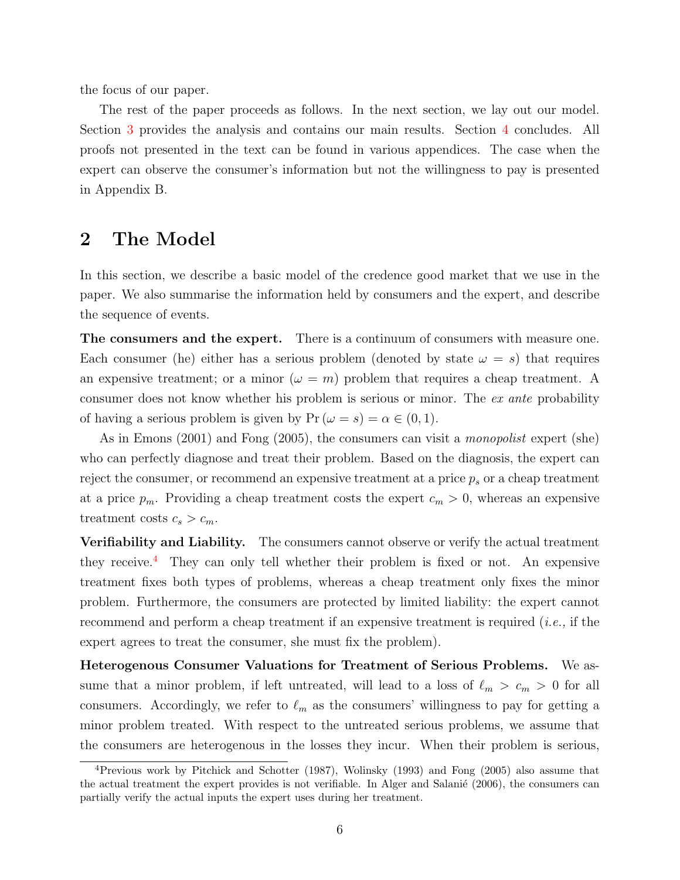the focus of our paper.

The rest of the paper proceeds as follows. In the next section, we lay out our model. Section [3](#page-7-0) provides the analysis and contains our main results. Section [4](#page-14-0) concludes. All proofs not presented in the text can be found in various appendices. The case when the expert can observe the consumer's information but not the willingness to pay is presented in Appendix B.

### 2 The Model

In this section, we describe a basic model of the credence good market that we use in the paper. We also summarise the information held by consumers and the expert, and describe the sequence of events.

The consumers and the expert. There is a continuum of consumers with measure one. Each consumer (he) either has a serious problem (denoted by state  $\omega = s$ ) that requires an expensive treatment; or a minor  $(\omega = m)$  problem that requires a cheap treatment. A consumer does not know whether his problem is serious or minor. The ex ante probability of having a serious problem is given by  $Pr(\omega = s) = \alpha \in (0, 1)$ .

As in Emons (2001) and Fong (2005), the consumers can visit a *monopolist* expert (she) who can perfectly diagnose and treat their problem. Based on the diagnosis, the expert can reject the consumer, or recommend an expensive treatment at a price  $p_s$  or a cheap treatment at a price  $p_m$ . Providing a cheap treatment costs the expert  $c_m > 0$ , whereas an expensive treatment costs  $c_s > c_m$ .

Verifiability and Liability. The consumers cannot observe or verify the actual treatment they receive.[4](#page-5-0) They can only tell whether their problem is fixed or not. An expensive treatment fixes both types of problems, whereas a cheap treatment only fixes the minor problem. Furthermore, the consumers are protected by limited liability: the expert cannot recommend and perform a cheap treatment if an expensive treatment is required  $(i.e.,$  if the expert agrees to treat the consumer, she must fix the problem).

Heterogenous Consumer Valuations for Treatment of Serious Problems. We assume that a minor problem, if left untreated, will lead to a loss of  $\ell_m > c_m > 0$  for all consumers. Accordingly, we refer to  $\ell_m$  as the consumers' willingness to pay for getting a minor problem treated. With respect to the untreated serious problems, we assume that the consumers are heterogenous in the losses they incur. When their problem is serious,

<span id="page-5-0"></span><sup>4</sup>Previous work by Pitchick and Schotter (1987), Wolinsky (1993) and Fong (2005) also assume that the actual treatment the expert provides is not verifiable. In Alger and Salanié (2006), the consumers can partially verify the actual inputs the expert uses during her treatment.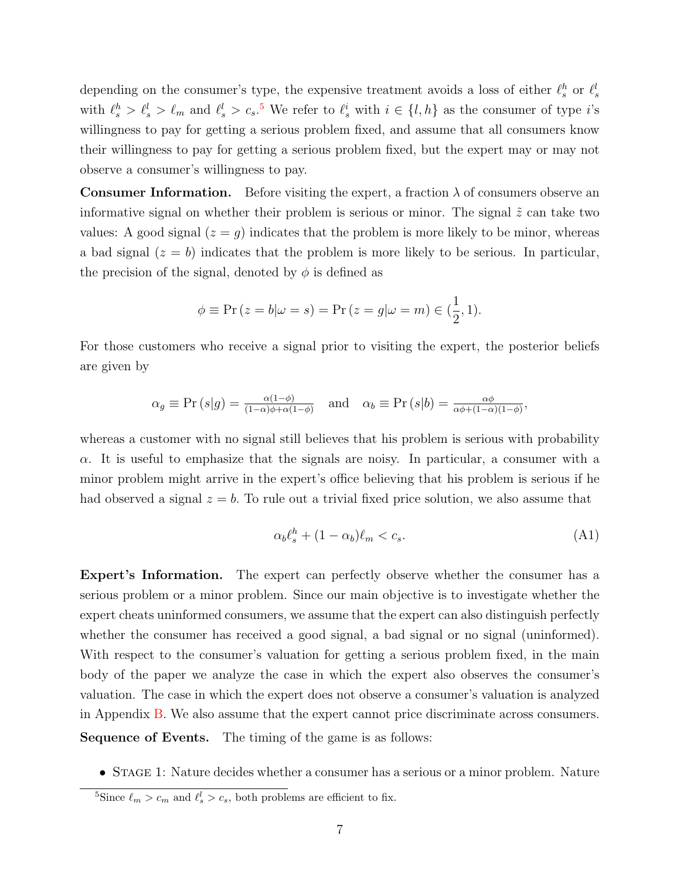depending on the consumer's type, the expensive treatment avoids a loss of either  $\ell_s^h$  or  $\ell_s^l$ with  $\ell_s^h > \ell_s^l > \ell_m$  and  $\ell_s^l > c_s$ .<sup>[5](#page-6-0)</sup> We refer to  $\ell_s^i$  with  $i \in \{l, h\}$  as the consumer of type *i*'s willingness to pay for getting a serious problem fixed, and assume that all consumers know their willingness to pay for getting a serious problem fixed, but the expert may or may not observe a consumer's willingness to pay.

**Consumer Information.** Before visiting the expert, a fraction  $\lambda$  of consumers observe an informative signal on whether their problem is serious or minor. The signal  $\tilde{z}$  can take two values: A good signal  $(z = g)$  indicates that the problem is more likely to be minor, whereas a bad signal  $(z = b)$  indicates that the problem is more likely to be serious. In particular, the precision of the signal, denoted by  $\phi$  is defined as

$$
\phi \equiv \Pr(z = b | \omega = s) = \Pr(z = g | \omega = m) \in (\frac{1}{2}, 1).
$$

For those customers who receive a signal prior to visiting the expert, the posterior beliefs are given by

$$
\alpha_g \equiv \Pr(s|g) = \frac{\alpha(1-\phi)}{(1-\alpha)\phi + \alpha(1-\phi)}
$$
 and  $\alpha_b \equiv \Pr(s|b) = \frac{\alpha\phi}{\alpha\phi + (1-\alpha)(1-\phi)}$ ,

whereas a customer with no signal still believes that his problem is serious with probability  $\alpha$ . It is useful to emphasize that the signals are noisy. In particular, a consumer with a minor problem might arrive in the expert's office believing that his problem is serious if he had observed a signal  $z = b$ . To rule out a trivial fixed price solution, we also assume that

$$
\alpha_b \ell_s^h + (1 - \alpha_b)\ell_m < c_s. \tag{A1}
$$

Expert's Information. The expert can perfectly observe whether the consumer has a serious problem or a minor problem. Since our main objective is to investigate whether the expert cheats uninformed consumers, we assume that the expert can also distinguish perfectly whether the consumer has received a good signal, a bad signal or no signal (uninformed). With respect to the consumer's valuation for getting a serious problem fixed, in the main body of the paper we analyze the case in which the expert also observes the consumer's valuation. The case in which the expert does not observe a consumer's valuation is analyzed in Appendix [B.](#page-19-0) We also assume that the expert cannot price discriminate across consumers. Sequence of Events. The timing of the game is as follows:

• STAGE 1: Nature decides whether a consumer has a serious or a minor problem. Nature

<span id="page-6-0"></span><sup>&</sup>lt;sup>5</sup>Since  $\ell_m > c_m$  and  $\ell_s^l > c_s$ , both problems are efficient to fix.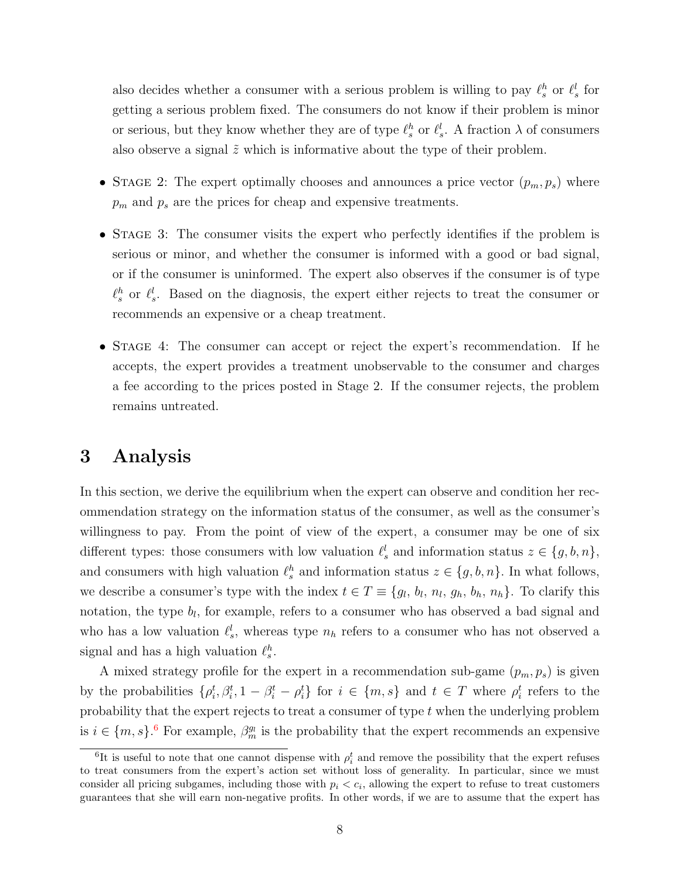also decides whether a consumer with a serious problem is willing to pay  $\ell_s^h$  or  $\ell_s^l$  for getting a serious problem fixed. The consumers do not know if their problem is minor or serious, but they know whether they are of type  $\ell_s^h$  or  $\ell_s^l$ . A fraction  $\lambda$  of consumers also observe a signal  $\tilde{z}$  which is informative about the type of their problem.

- STAGE 2: The expert optimally chooses and announces a price vector  $(p_m, p_s)$  where  $p_m$  and  $p_s$  are the prices for cheap and expensive treatments.
- STAGE 3: The consumer visits the expert who perfectly identifies if the problem is serious or minor, and whether the consumer is informed with a good or bad signal, or if the consumer is uninformed. The expert also observes if the consumer is of type  $\ell_s^h$  or  $\ell_s^l$ . Based on the diagnosis, the expert either rejects to treat the consumer or recommends an expensive or a cheap treatment.
- STAGE 4: The consumer can accept or reject the expert's recommendation. If he accepts, the expert provides a treatment unobservable to the consumer and charges a fee according to the prices posted in Stage 2. If the consumer rejects, the problem remains untreated.

### <span id="page-7-0"></span>3 Analysis

In this section, we derive the equilibrium when the expert can observe and condition her recommendation strategy on the information status of the consumer, as well as the consumer's willingness to pay. From the point of view of the expert, a consumer may be one of six different types: those consumers with low valuation  $\ell_s^l$  and information status  $z \in \{g, b, n\},$ and consumers with high valuation  $\ell_s^h$  and information status  $z \in \{g, b, n\}$ . In what follows, we describe a consumer's type with the index  $t \in T \equiv \{g_l, b_l, n_l, g_h, b_h, n_h\}$ . To clarify this notation, the type  $b_l$ , for example, refers to a consumer who has observed a bad signal and who has a low valuation  $\ell_s^l$ , whereas type  $n_h$  refers to a consumer who has not observed a signal and has a high valuation  $\ell_s^h$ .

A mixed strategy profile for the expert in a recommendation sub-game  $(p_m, p_s)$  is given by the probabilities  $\{\rho_i^t, \beta_i^t, 1 - \beta_i^t - \rho_i^t\}$  for  $i \in \{m, s\}$  and  $t \in T$  where  $\rho_i^t$  refers to the probability that the expert rejects to treat a consumer of type t when the underlying problem is  $i \in \{m, s\}$ .<sup>[6](#page-7-1)</sup> For example,  $\beta_m^{g_l}$  is the probability that the expert recommends an expensive

<span id="page-7-1"></span><sup>&</sup>lt;sup>6</sup>It is useful to note that one cannot dispense with  $\rho_i^t$  and remove the possibility that the expert refuses to treat consumers from the expert's action set without loss of generality. In particular, since we must consider all pricing subgames, including those with  $p_i < c_i$ , allowing the expert to refuse to treat customers guarantees that she will earn non-negative profits. In other words, if we are to assume that the expert has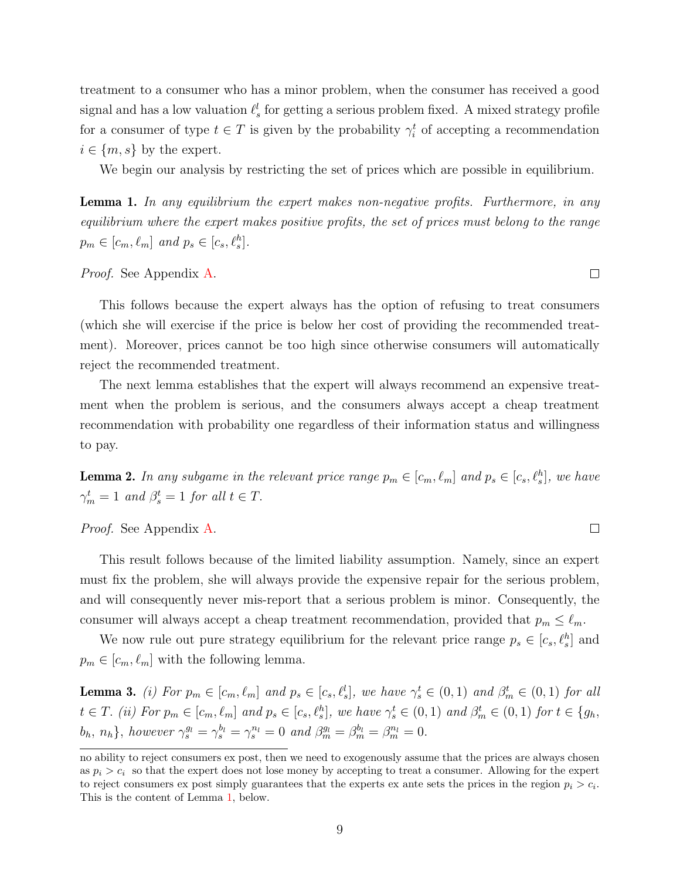treatment to a consumer who has a minor problem, when the consumer has received a good signal and has a low valuation  $\ell_s^l$  for getting a serious problem fixed. A mixed strategy profile for a consumer of type  $t \in T$  is given by the probability  $\gamma_i^t$  of accepting a recommendation  $i \in \{m, s\}$  by the expert.

We begin our analysis by restricting the set of prices which are possible in equilibrium.

<span id="page-8-0"></span>**Lemma 1.** In any equilibrium the expert makes non-negative profits. Furthermore, in any equilibrium where the expert makes positive profits, the set of prices must belong to the range  $p_m \in [c_m, \ell_m]$  and  $p_s \in [c_s, \ell_s^h]$ .

Proof. See Appendix [A.](#page-16-0)

This follows because the expert always has the option of refusing to treat consumers (which she will exercise if the price is below her cost of providing the recommended treatment). Moreover, prices cannot be too high since otherwise consumers will automatically reject the recommended treatment.

The next lemma establishes that the expert will always recommend an expensive treatment when the problem is serious, and the consumers always accept a cheap treatment recommendation with probability one regardless of their information status and willingness to pay.

<span id="page-8-2"></span>**Lemma 2.** In any subgame in the relevant price range  $p_m \in [c_m, \ell_m]$  and  $p_s \in [c_s, \ell_s^h]$ , we have  $\gamma_m^t = 1$  and  $\beta_s^t = 1$  for all  $t \in T$ .

Proof. See Appendix [A.](#page-16-0)

This result follows because of the limited liability assumption. Namely, since an expert must fix the problem, she will always provide the expensive repair for the serious problem, and will consequently never mis-report that a serious problem is minor. Consequently, the consumer will always accept a cheap treatment recommendation, provided that  $p_m \leq \ell_m$ .

We now rule out pure strategy equilibrium for the relevant price range  $p_s \in [c_s, \ell_s^h]$  and  $p_m \in [c_m, \ell_m]$  with the following lemma.

<span id="page-8-1"></span>**Lemma 3.** (i) For  $p_m \in [c_m, \ell_m]$  and  $p_s \in [c_s, \ell_s]$ , we have  $\gamma_s^t \in (0, 1)$  and  $\beta_m^t \in (0, 1)$  for all  $t \in T$ . (ii) For  $p_m \in [c_m, \ell_m]$  and  $p_s \in [c_s, \ell_s^h]$ , we have  $\gamma_s^t \in (0, 1)$  and  $\beta_m^t \in (0, 1)$  for  $t \in \{g_h, \ell_s^h\}$  $\{b_h, n_h\},$  however  $\gamma_s^{g_l} = \gamma_s^{b_l} = \gamma_s^{n_l} = 0$  and  $\beta_m^{g_l} = \beta_m^{b_l} = \beta_m^{n_l} = 0$ .

 $\Box$ 

 $\Box$ 

no ability to reject consumers ex post, then we need to exogenously assume that the prices are always chosen as  $p_i > c_i$  so that the expert does not lose money by accepting to treat a consumer. Allowing for the expert to reject consumers ex post simply guarantees that the experts ex ante sets the prices in the region  $p_i > c_i$ . This is the content of Lemma [1,](#page-8-0) below.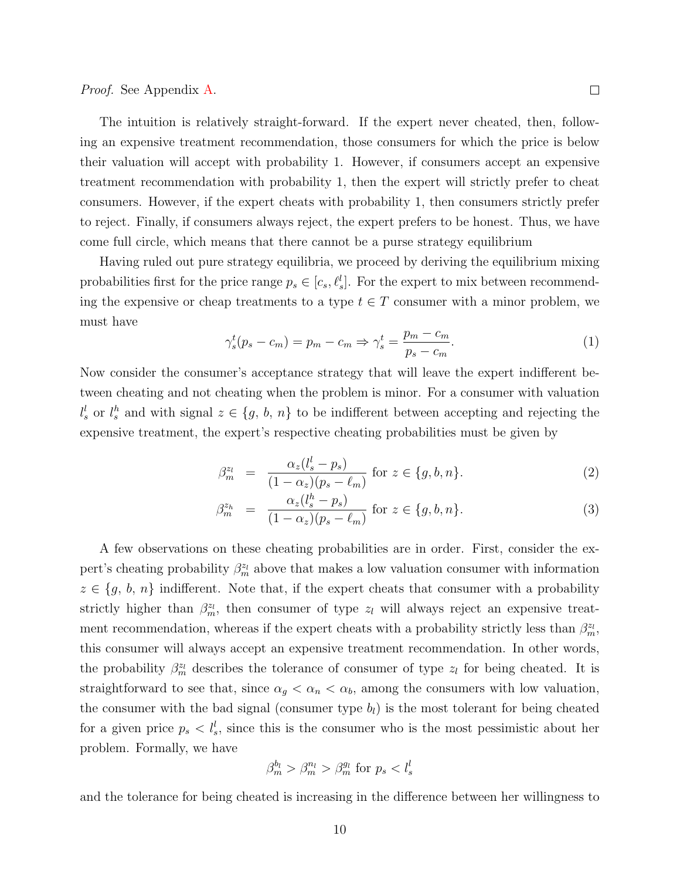#### Proof. See Appendix [A.](#page-16-0)

The intuition is relatively straight-forward. If the expert never cheated, then, following an expensive treatment recommendation, those consumers for which the price is below their valuation will accept with probability 1. However, if consumers accept an expensive treatment recommendation with probability 1, then the expert will strictly prefer to cheat consumers. However, if the expert cheats with probability 1, then consumers strictly prefer to reject. Finally, if consumers always reject, the expert prefers to be honest. Thus, we have come full circle, which means that there cannot be a purse strategy equilibrium

Having ruled out pure strategy equilibria, we proceed by deriving the equilibrium mixing probabilities first for the price range  $p_s \in [c_s, \ell_s]$ . For the expert to mix between recommending the expensive or cheap treatments to a type  $t \in T$  consumer with a minor problem, we must have

$$
\gamma_s^t(p_s - c_m) = p_m - c_m \Rightarrow \gamma_s^t = \frac{p_m - c_m}{p_s - c_m}.\tag{1}
$$

Now consider the consumer's acceptance strategy that will leave the expert indifferent between cheating and not cheating when the problem is minor. For a consumer with valuation  $l_s^l$  or  $l_s^h$  and with signal  $z \in \{g, b, n\}$  to be indifferent between accepting and rejecting the expensive treatment, the expert's respective cheating probabilities must be given by

$$
\beta_m^{z_l} = \frac{\alpha_z(l_s^l - p_s)}{(1 - \alpha_z)(p_s - \ell_m)} \text{ for } z \in \{g, b, n\}.
$$
\n
$$
(2)
$$

$$
\beta_m^{z_h} = \frac{\alpha_z(l_s^h - p_s)}{(1 - \alpha_z)(p_s - \ell_m)} \text{ for } z \in \{g, b, n\}.
$$
\n(3)

A few observations on these cheating probabilities are in order. First, consider the expert's cheating probability  $\beta_m^{z_l}$  above that makes a low valuation consumer with information  $z \in \{g, b, n\}$  indifferent. Note that, if the expert cheats that consumer with a probability strictly higher than  $\beta_m^{z_l}$ , then consumer of type  $z_l$  will always reject an expensive treatment recommendation, whereas if the expert cheats with a probability strictly less than  $\beta_m^{z_l}$ , this consumer will always accept an expensive treatment recommendation. In other words, the probability  $\beta_m^{z_l}$  describes the tolerance of consumer of type  $z_l$  for being cheated. It is straightforward to see that, since  $\alpha_g < \alpha_n < \alpha_b$ , among the consumers with low valuation, the consumer with the bad signal (consumer type  $b<sub>l</sub>$ ) is the most tolerant for being cheated for a given price  $p_s < l_s^l$ , since this is the consumer who is the most pessimistic about her problem. Formally, we have

$$
\beta_m^{b_l} > \beta_m^{n_l} > \beta_m^{g_l} \text{ for } p_s < l_s^l
$$

and the tolerance for being cheated is increasing in the difference between her willingness to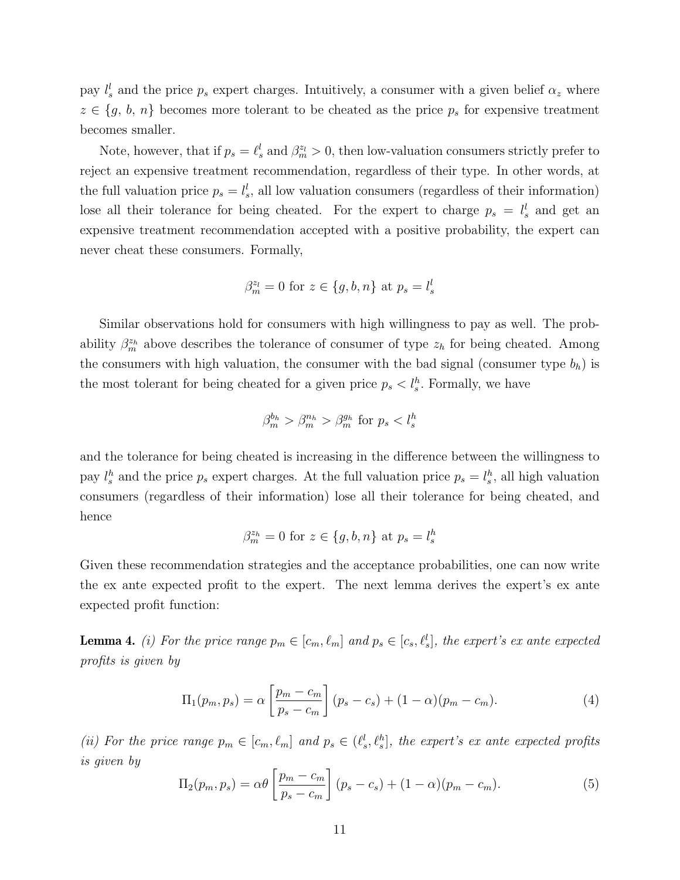pay  $l_s^l$  and the price  $p_s$  expert charges. Intuitively, a consumer with a given belief  $\alpha_z$  where  $z \in \{g, b, n\}$  becomes more tolerant to be cheated as the price  $p_s$  for expensive treatment becomes smaller.

Note, however, that if  $p_s = \ell_s^l$  and  $\beta_m^{z_l} > 0$ , then low-valuation consumers strictly prefer to reject an expensive treatment recommendation, regardless of their type. In other words, at the full valuation price  $p_s = l_s^l$ , all low valuation consumers (regardless of their information) lose all their tolerance for being cheated. For the expert to charge  $p_s = l_s^l$  and get an expensive treatment recommendation accepted with a positive probability, the expert can never cheat these consumers. Formally,

$$
\beta_m^{z_l} = 0 \text{ for } z \in \{g, b, n\} \text{ at } p_s = l_s^l
$$

Similar observations hold for consumers with high willingness to pay as well. The probability  $\beta_m^{z_h}$  above describes the tolerance of consumer of type  $z_h$  for being cheated. Among the consumers with high valuation, the consumer with the bad signal (consumer type  $b_h$ ) is the most tolerant for being cheated for a given price  $p_s < l_s^h$ . Formally, we have

$$
\beta_m^{b_h} > \beta_m^{n_h} > \beta_m^{g_h} \text{ for } p_s < l_s^h
$$

and the tolerance for being cheated is increasing in the difference between the willingness to pay  $l_s^h$  and the price  $p_s$  expert charges. At the full valuation price  $p_s = l_s^h$ , all high valuation consumers (regardless of their information) lose all their tolerance for being cheated, and hence

$$
\beta_m^{z_h} = 0 \text{ for } z \in \{g, b, n\} \text{ at } p_s = l_s^h
$$

Given these recommendation strategies and the acceptance probabilities, one can now write the ex ante expected profit to the expert. The next lemma derives the expert's ex ante expected profit function:

<span id="page-10-0"></span>**Lemma 4.** (i) For the price range  $p_m \in [c_m, \ell_m]$  and  $p_s \in [c_s, \ell_s]$ , the expert's ex ante expected profits is given by

<span id="page-10-1"></span>
$$
\Pi_1(p_m, p_s) = \alpha \left[ \frac{p_m - c_m}{p_s - c_m} \right] (p_s - c_s) + (1 - \alpha)(p_m - c_m). \tag{4}
$$

(ii) For the price range  $p_m \in [c_m, \ell_m]$  and  $p_s \in (\ell_s^l, \ell_s^h]$ , the expert's ex ante expected profits is given by

<span id="page-10-2"></span>
$$
\Pi_2(p_m, p_s) = \alpha \theta \left[ \frac{p_m - c_m}{p_s - c_m} \right] (p_s - c_s) + (1 - \alpha)(p_m - c_m). \tag{5}
$$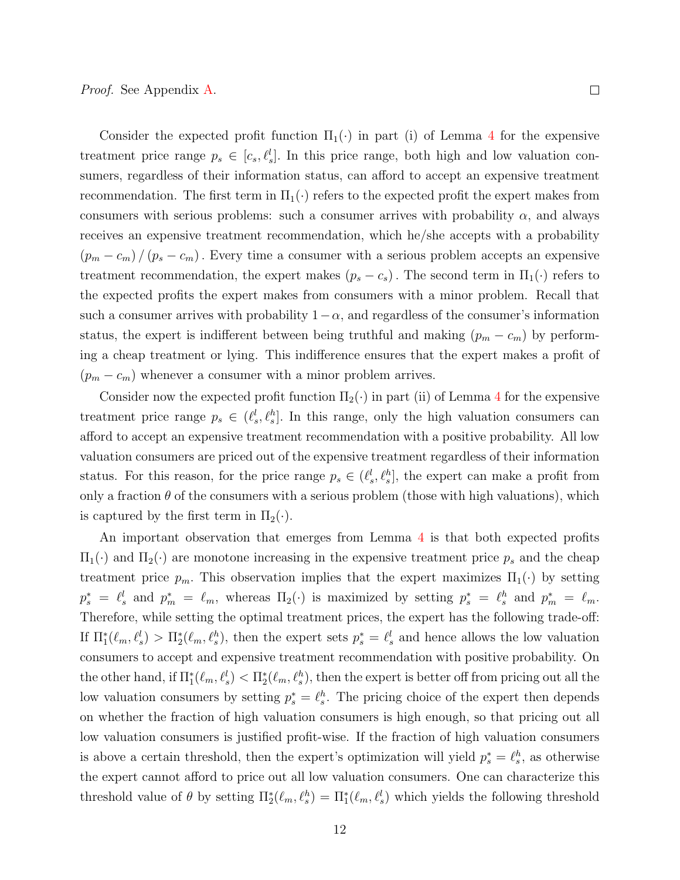Consider the expected profit function  $\Pi_1(\cdot)$  in part (i) of Lemma [4](#page-10-0) for the expensive treatment price range  $p_s \in [c_s, \ell_s]$ . In this price range, both high and low valuation consumers, regardless of their information status, can afford to accept an expensive treatment recommendation. The first term in  $\Pi_1(\cdot)$  refers to the expected profit the expert makes from consumers with serious problems: such a consumer arrives with probability  $\alpha$ , and always receives an expensive treatment recommendation, which he/she accepts with a probability  $(p_m - c_m) / (p_s - c_m)$ . Every time a consumer with a serious problem accepts an expensive treatment recommendation, the expert makes  $(p_s - c_s)$ . The second term in  $\Pi_1(\cdot)$  refers to the expected profits the expert makes from consumers with a minor problem. Recall that such a consumer arrives with probability  $1-\alpha$ , and regardless of the consumer's information status, the expert is indifferent between being truthful and making  $(p_m - c_m)$  by performing a cheap treatment or lying. This indifference ensures that the expert makes a profit of  $(p_m - c_m)$  whenever a consumer with a minor problem arrives.

Consider now the expected profit function  $\Pi_2(\cdot)$  in part (ii) of Lemma [4](#page-10-0) for the expensive treatment price range  $p_s \in (\ell_s^l, \ell_s^h]$ . In this range, only the high valuation consumers can afford to accept an expensive treatment recommendation with a positive probability. All low valuation consumers are priced out of the expensive treatment regardless of their information status. For this reason, for the price range  $p_s \in (\ell_s^l, \ell_s^h]$ , the expert can make a profit from only a fraction  $\theta$  of the consumers with a serious problem (those with high valuations), which is captured by the first term in  $\Pi_2(\cdot)$ .

An important observation that emerges from Lemma [4](#page-10-0) is that both expected profits  $\Pi_1(\cdot)$  and  $\Pi_2(\cdot)$  are monotone increasing in the expensive treatment price  $p_s$  and the cheap treatment price  $p_m$ . This observation implies that the expert maximizes  $\Pi_1(\cdot)$  by setting  $p_s^* = \ell_s^l$  and  $p_m^* = \ell_m$ , whereas  $\Pi_2(\cdot)$  is maximized by setting  $p_s^* = \ell_s^h$  and  $p_m^* = \ell_m$ . Therefore, while setting the optimal treatment prices, the expert has the following trade-off: If  $\Pi_1^*(\ell_m, \ell_s^l) > \Pi_2^*(\ell_m, \ell_s^h)$ , then the expert sets  $p_s^* = \ell_s^l$  and hence allows the low valuation consumers to accept and expensive treatment recommendation with positive probability. On the other hand, if  $\Pi_1^*(\ell_m, \ell_s^l) < \Pi_2^*(\ell_m, \ell_s^h)$ , then the expert is better off from pricing out all the low valuation consumers by setting  $p_s^* = \ell_s^h$ . The pricing choice of the expert then depends on whether the fraction of high valuation consumers is high enough, so that pricing out all low valuation consumers is justified profit-wise. If the fraction of high valuation consumers is above a certain threshold, then the expert's optimization will yield  $p_s^* = \ell_s^h$ , as otherwise the expert cannot afford to price out all low valuation consumers. One can characterize this threshold value of  $\theta$  by setting  $\Pi_2^*(\ell_m, \ell_s^h) = \Pi_1^*(\ell_m, \ell_s^l)$  which yields the following threshold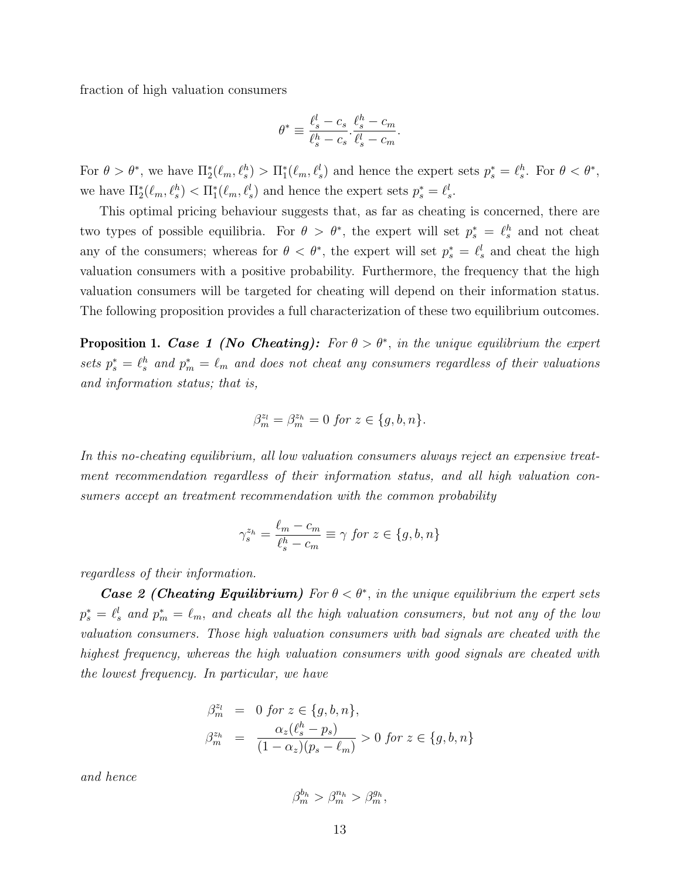fraction of high valuation consumers

$$
\theta^* \equiv \frac{\ell_s^l - c_s}{\ell_s^h - c_s} \cdot \frac{\ell_s^h - c_m}{\ell_s^l - c_m}.
$$

For  $\theta > \theta^*$ , we have  $\Pi_2^*(\ell_m, \ell_s^h) > \Pi_1^*(\ell_m, \ell_s^l)$  and hence the expert sets  $p_s^* = \ell_s^h$ . For  $\theta < \theta^*$ , we have  $\Pi_2^*(\ell_m, \ell_s^h) < \Pi_1^*(\ell_m, \ell_s^l)$  and hence the expert sets  $p_s^* = \ell_s^l$ .

This optimal pricing behaviour suggests that, as far as cheating is concerned, there are two types of possible equilibria. For  $\theta > \theta^*$ , the expert will set  $p_s^* = \ell_s^h$  and not cheat any of the consumers; whereas for  $\theta < \theta^*$ , the expert will set  $p_s^* = \ell_s^l$  and cheat the high valuation consumers with a positive probability. Furthermore, the frequency that the high valuation consumers will be targeted for cheating will depend on their information status. The following proposition provides a full characterization of these two equilibrium outcomes.

<span id="page-12-0"></span>**Proposition 1. Case 1 (No Cheating):** For  $\theta > \theta^*$ , in the unique equilibrium the expert sets  $p_s^* = \ell_s^h$  and  $p_m^* = \ell_m$  and does not cheat any consumers regardless of their valuations and information status; that is,

$$
\beta_m^{z_l}=\beta_m^{z_h}=0 \ for \ z\in\{g,b,n\}.
$$

In this no-cheating equilibrium, all low valuation consumers always reject an expensive treatment recommendation regardless of their information status, and all high valuation consumers accept an treatment recommendation with the common probability

$$
\gamma_s^{z_h} = \frac{\ell_m - c_m}{\ell_s^h - c_m} \equiv \gamma \text{ for } z \in \{g, b, n\}
$$

regardless of their information.

**Case 2 (Cheating Equilibrium)** For  $\theta < \theta^*$ , in the unique equilibrium the expert sets  $p_s^* = \ell_s^l$  and  $p_m^* = \ell_m$ , and cheats all the high valuation consumers, but not any of the low valuation consumers. Those high valuation consumers with bad signals are cheated with the highest frequency, whereas the high valuation consumers with good signals are cheated with the lowest frequency. In particular, we have

$$
\beta_m^{z_l} = 0 \text{ for } z \in \{g, b, n\},
$$
  

$$
\beta_m^{z_h} = \frac{\alpha_z(\ell_s^h - p_s)}{(1 - \alpha_z)(p_s - \ell_m)} > 0 \text{ for } z \in \{g, b, n\}
$$

and hence

$$
\beta_m^{b_h} > \beta_m^{n_h} > \beta_m^{g_h},
$$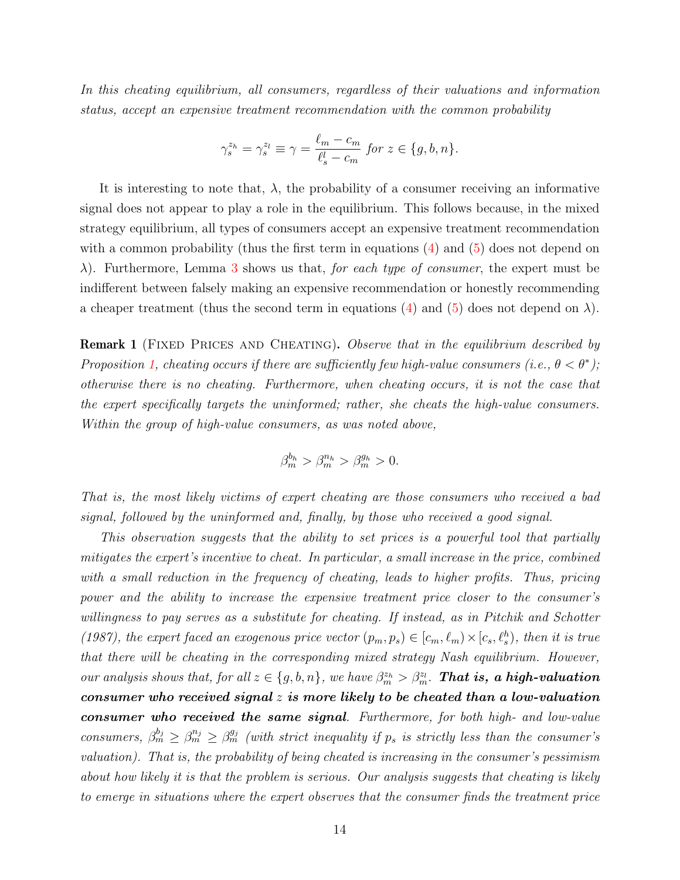In this cheating equilibrium, all consumers, regardless of their valuations and information status, accept an expensive treatment recommendation with the common probability

$$
\gamma_s^{z_h} = \gamma_s^{z_l} \equiv \gamma = \frac{\ell_m - c_m}{\ell_s^l - c_m} \text{ for } z \in \{g, b, n\}.
$$

It is interesting to note that,  $\lambda$ , the probability of a consumer receiving an informative signal does not appear to play a role in the equilibrium. This follows because, in the mixed strategy equilibrium, all types of consumers accept an expensive treatment recommendation with a common probability (thus the first term in equations  $(4)$  and  $(5)$  does not depend on  $\lambda$ ). Furthermore, Lemma [3](#page-8-1) shows us that, *for each type of consumer*, the expert must be indifferent between falsely making an expensive recommendation or honestly recommending a cheaper treatment (thus the second term in equations [\(4\)](#page-10-1) and [\(5\)](#page-10-2) does not depend on  $\lambda$ ).

**Remark 1** (FIXED PRICES AND CHEATING). Observe that in the equilibrium described by Proposition [1,](#page-12-0) cheating occurs if there are sufficiently few high-value consumers (i.e.,  $\theta < \theta^*$ ); otherwise there is no cheating. Furthermore, when cheating occurs, it is not the case that the expert specifically targets the uninformed; rather, she cheats the high-value consumers. Within the group of high-value consumers, as was noted above,

$$
\beta_m^{b_h} > \beta_m^{n_h} > \beta_m^{g_h} > 0.
$$

That is, the most likely victims of expert cheating are those consumers who received a bad signal, followed by the uninformed and, finally, by those who received a good signal.

This observation suggests that the ability to set prices is a powerful tool that partially mitigates the expert's incentive to cheat. In particular, a small increase in the price, combined with a small reduction in the frequency of cheating, leads to higher profits. Thus, pricing power and the ability to increase the expensive treatment price closer to the consumer's willingness to pay serves as a substitute for cheating. If instead, as in Pitchik and Schotter (1987), the expert faced an exogenous price vector  $(p_m, p_s) \in [c_m, \ell_m) \times [c_s, \ell_s^h]$ , then it is true that there will be cheating in the corresponding mixed strategy Nash equilibrium. However, our analysis shows that, for all  $z \in \{g, b, n\}$ , we have  $\beta_m^{z_h} > \beta_m^{z_l}$ . **That is, a high-valuation** consumer who received signal  $z$  is more likely to be cheated than a low-valuation consumer who received the same signal. Furthermore, for both high- and low-value consumers,  $\beta_m^{b_j} \geq \beta_m^{n_j} \geq \beta_m^{g_j}$  (with strict inequality if  $p_s$  is strictly less than the consumer's valuation). That is, the probability of being cheated is increasing in the consumer's pessimism about how likely it is that the problem is serious. Our analysis suggests that cheating is likely to emerge in situations where the expert observes that the consumer finds the treatment price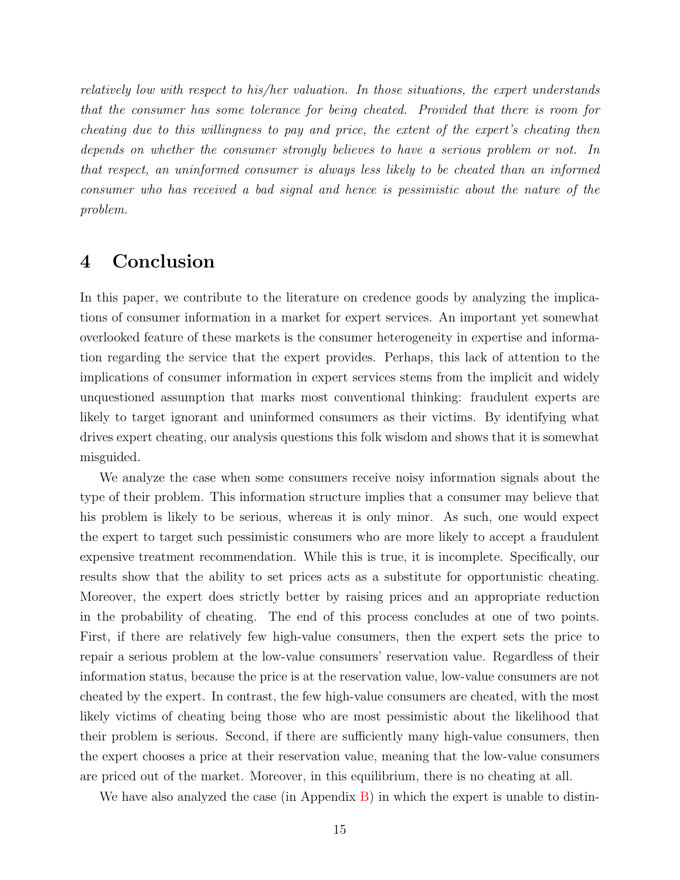relatively low with respect to his/her valuation. In those situations, the expert understands that the consumer has some tolerance for being cheated. Provided that there is room for cheating due to this willingness to pay and price, the extent of the expert's cheating then depends on whether the consumer strongly believes to have a serious problem or not. In that respect, an uninformed consumer is always less likely to be cheated than an informed consumer who has received a bad signal and hence is pessimistic about the nature of the problem.

### <span id="page-14-0"></span>4 Conclusion

In this paper, we contribute to the literature on credence goods by analyzing the implications of consumer information in a market for expert services. An important yet somewhat overlooked feature of these markets is the consumer heterogeneity in expertise and information regarding the service that the expert provides. Perhaps, this lack of attention to the implications of consumer information in expert services stems from the implicit and widely unquestioned assumption that marks most conventional thinking: fraudulent experts are likely to target ignorant and uninformed consumers as their victims. By identifying what drives expert cheating, our analysis questions this folk wisdom and shows that it is somewhat misguided.

We analyze the case when some consumers receive noisy information signals about the type of their problem. This information structure implies that a consumer may believe that his problem is likely to be serious, whereas it is only minor. As such, one would expect the expert to target such pessimistic consumers who are more likely to accept a fraudulent expensive treatment recommendation. While this is true, it is incomplete. Specifically, our results show that the ability to set prices acts as a substitute for opportunistic cheating. Moreover, the expert does strictly better by raising prices and an appropriate reduction in the probability of cheating. The end of this process concludes at one of two points. First, if there are relatively few high-value consumers, then the expert sets the price to repair a serious problem at the low-value consumers' reservation value. Regardless of their information status, because the price is at the reservation value, low-value consumers are not cheated by the expert. In contrast, the few high-value consumers are cheated, with the most likely victims of cheating being those who are most pessimistic about the likelihood that their problem is serious. Second, if there are sufficiently many high-value consumers, then the expert chooses a price at their reservation value, meaning that the low-value consumers are priced out of the market. Moreover, in this equilibrium, there is no cheating at all.

We have also analyzed the case (in Appendix [B\)](#page-19-0) in which the expert is unable to distin-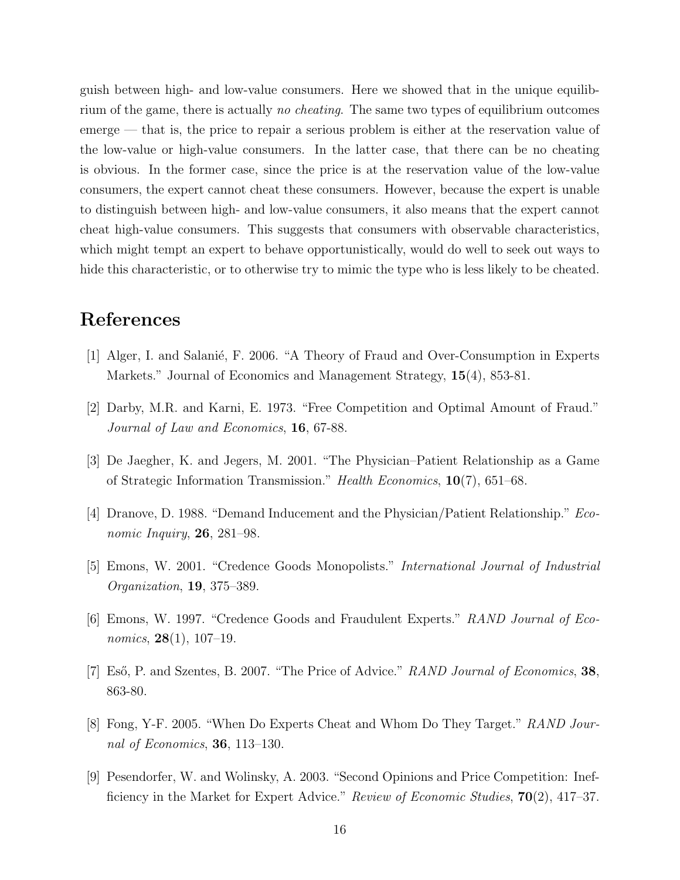guish between high- and low-value consumers. Here we showed that in the unique equilibrium of the game, there is actually no cheating. The same two types of equilibrium outcomes emerge — that is, the price to repair a serious problem is either at the reservation value of the low-value or high-value consumers. In the latter case, that there can be no cheating is obvious. In the former case, since the price is at the reservation value of the low-value consumers, the expert cannot cheat these consumers. However, because the expert is unable to distinguish between high- and low-value consumers, it also means that the expert cannot cheat high-value consumers. This suggests that consumers with observable characteristics, which might tempt an expert to behave opportunistically, would do well to seek out ways to hide this characteristic, or to otherwise try to mimic the type who is less likely to be cheated.

### References

- [1] Alger, I. and Salanié, F. 2006. "A Theory of Fraud and Over-Consumption in Experts Markets." Journal of Economics and Management Strategy, 15(4), 853-81.
- [2] Darby, M.R. and Karni, E. 1973. "Free Competition and Optimal Amount of Fraud." Journal of Law and Economics, 16, 67-88.
- [3] De Jaegher, K. and Jegers, M. 2001. "The Physician–Patient Relationship as a Game of Strategic Information Transmission." Health Economics,  $10(7)$ , 651–68.
- [4] Dranove, D. 1988. "Demand Inducement and the Physician/Patient Relationship." Economic Inquiry, 26, 281–98.
- [5] Emons, W. 2001. "Credence Goods Monopolists." International Journal of Industrial Organization, 19, 375–389.
- [6] Emons, W. 1997. "Credence Goods and Fraudulent Experts." RAND Journal of Eco*nomics*,  $28(1)$ ,  $107-19$ .
- [7] Eső, P. and Szentes, B. 2007. "The Price of Advice." RAND Journal of Economics, 38, 863-80.
- [8] Fong, Y-F. 2005. "When Do Experts Cheat and Whom Do They Target." RAND Journal of Economics, 36, 113–130.
- [9] Pesendorfer, W. and Wolinsky, A. 2003. "Second Opinions and Price Competition: Inefficiency in the Market for Expert Advice." Review of Economic Studies, 70(2), 417–37.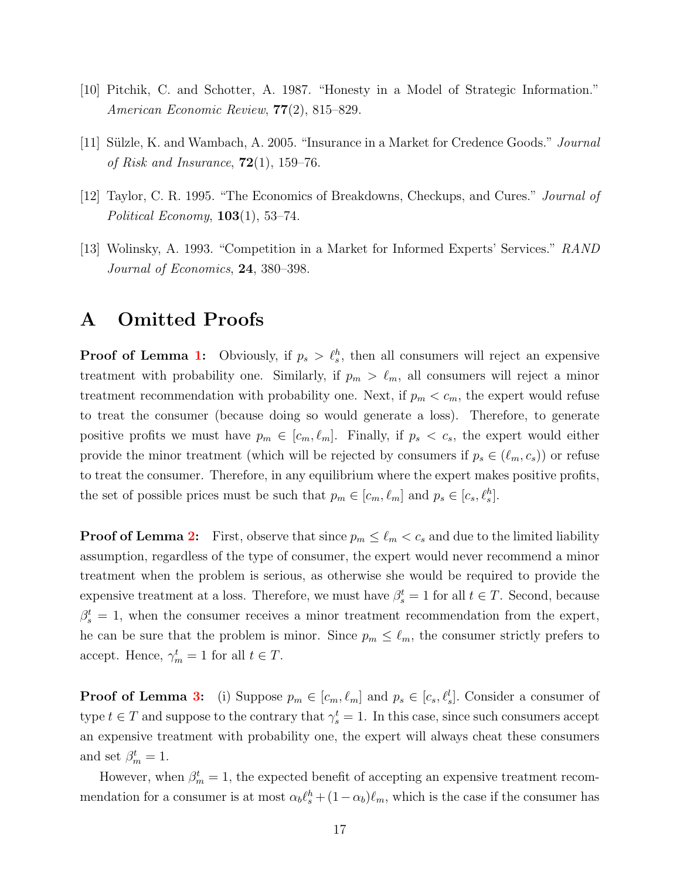- [10] Pitchik, C. and Schotter, A. 1987. "Honesty in a Model of Strategic Information." American Economic Review, 77(2), 815–829.
- [11] Sülzle, K. and Wambach, A. 2005. "Insurance in a Market for Credence Goods." *Journal* of Risk and Insurance,  $72(1)$ , 159–76.
- [12] Taylor, C. R. 1995. "The Economics of Breakdowns, Checkups, and Cures." Journal of Political Economy,  $103(1)$ , 53-74.
- [13] Wolinsky, A. 1993. "Competition in a Market for Informed Experts' Services." RAND Journal of Economics, 24, 380–398.

### <span id="page-16-0"></span>A Omitted Proofs

**Proof of Lemma [1:](#page-8-0)** Obviously, if  $p_s > \ell_s^h$ , then all consumers will reject an expensive treatment with probability one. Similarly, if  $p_m > \ell_m$ , all consumers will reject a minor treatment recommendation with probability one. Next, if  $p_m < c_m$ , the expert would refuse to treat the consumer (because doing so would generate a loss). Therefore, to generate positive profits we must have  $p_m \in [c_m, \ell_m]$ . Finally, if  $p_s < c_s$ , the expert would either provide the minor treatment (which will be rejected by consumers if  $p_s \in (\ell_m, c_s)$ ) or refuse to treat the consumer. Therefore, in any equilibrium where the expert makes positive profits, the set of possible prices must be such that  $p_m \in [c_m, \ell_m]$  and  $p_s \in [c_s, \ell_s^h]$ .

**Proof of Lemma [2:](#page-8-2)** First, observe that since  $p_m \leq \ell_m < c_s$  and due to the limited liability assumption, regardless of the type of consumer, the expert would never recommend a minor treatment when the problem is serious, as otherwise she would be required to provide the expensive treatment at a loss. Therefore, we must have  $\beta_s^t = 1$  for all  $t \in T$ . Second, because  $\beta_s^t = 1$ , when the consumer receives a minor treatment recommendation from the expert, he can be sure that the problem is minor. Since  $p_m \leq \ell_m$ , the consumer strictly prefers to accept. Hence,  $\gamma_m^t = 1$  for all  $t \in T$ .

**Proof of Lemma [3:](#page-8-1)** (i) Suppose  $p_m \in [c_m, \ell_m]$  and  $p_s \in [c_s, \ell_s]$ . Consider a consumer of type  $t \in T$  and suppose to the contrary that  $\gamma_s^t = 1$ . In this case, since such consumers accept an expensive treatment with probability one, the expert will always cheat these consumers and set  $\beta_m^t = 1$ .

However, when  $\beta_m^t = 1$ , the expected benefit of accepting an expensive treatment recommendation for a consumer is at most  $\alpha_b \ell_s^h + (1 - \alpha_b)\ell_m$ , which is the case if the consumer has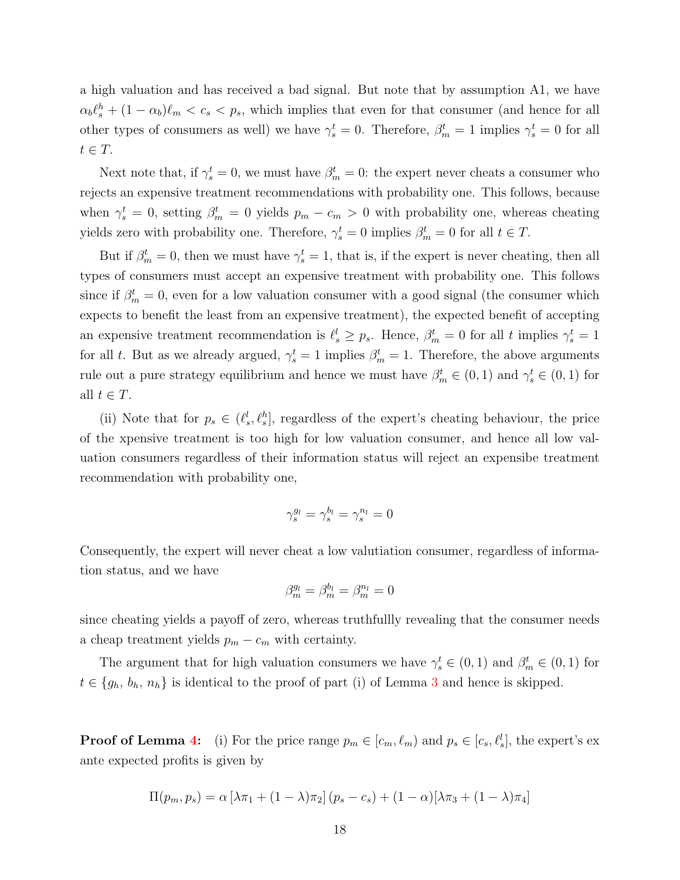a high valuation and has received a bad signal. But note that by assumption A1, we have  $\alpha_b \ell_s^h + (1 - \alpha_b)\ell_m < c_s < p_s$ , which implies that even for that consumer (and hence for all other types of consumers as well) we have  $\gamma_s^t = 0$ . Therefore,  $\beta_m^t = 1$  implies  $\gamma_s^t = 0$  for all  $t \in T$ .

Next note that, if  $\gamma_s^t = 0$ , we must have  $\beta_m^t = 0$ : the expert never cheats a consumer who rejects an expensive treatment recommendations with probability one. This follows, because when  $\gamma_s^t = 0$ , setting  $\beta_m^t = 0$  yields  $p_m - c_m > 0$  with probability one, whereas cheating yields zero with probability one. Therefore,  $\gamma_s^t = 0$  implies  $\beta_m^t = 0$  for all  $t \in T$ .

But if  $\beta_m^t = 0$ , then we must have  $\gamma_s^t = 1$ , that is, if the expert is never cheating, then all types of consumers must accept an expensive treatment with probability one. This follows since if  $\beta_m^t = 0$ , even for a low valuation consumer with a good signal (the consumer which expects to benefit the least from an expensive treatment), the expected benefit of accepting an expensive treatment recommendation is  $\ell_s^l \geq p_s$ . Hence,  $\beta_m^t = 0$  for all t implies  $\gamma_s^t = 1$ for all t. But as we already argued,  $\gamma_s^t = 1$  implies  $\beta_m^t = 1$ . Therefore, the above arguments rule out a pure strategy equilibrium and hence we must have  $\beta_m^t \in (0,1)$  and  $\gamma_s^t \in (0,1)$  for all  $t \in T$ .

(ii) Note that for  $p_s \in (\ell_s^l, \ell_s^h]$ , regardless of the expert's cheating behaviour, the price of the xpensive treatment is too high for low valuation consumer, and hence all low valuation consumers regardless of their information status will reject an expensibe treatment recommendation with probability one,

$$
\gamma_s^{g_l}=\gamma_s^{b_l}=\gamma_s^{n_l}=0
$$

Consequently, the expert will never cheat a low valutiation consumer, regardless of information status, and we have

$$
\beta_m^{g_l}=\beta_m^{b_l}=\beta_m^{n_l}=0
$$

since cheating yields a payoff of zero, whereas truthfullly revealing that the consumer needs a cheap treatment yields  $p_m - c_m$  with certainty.

The argument that for high valuation consumers we have  $\gamma_s^t \in (0,1)$  and  $\beta_m^t \in (0,1)$  for  $t \in \{g_h, b_h, n_h\}$  is identical to the proof of part (i) of Lemma [3](#page-8-1) and hence is skipped.

**Proof of Lemma [4:](#page-10-0)** (i) For the price range  $p_m \in [c_m, \ell_m)$  and  $p_s \in [c_s, \ell_s]$ , the expert's exante expected profits is given by

$$
\Pi(p_m, p_s) = \alpha [\lambda \pi_1 + (1 - \lambda)\pi_2] (p_s - c_s) + (1 - \alpha)[\lambda \pi_3 + (1 - \lambda)\pi_4]
$$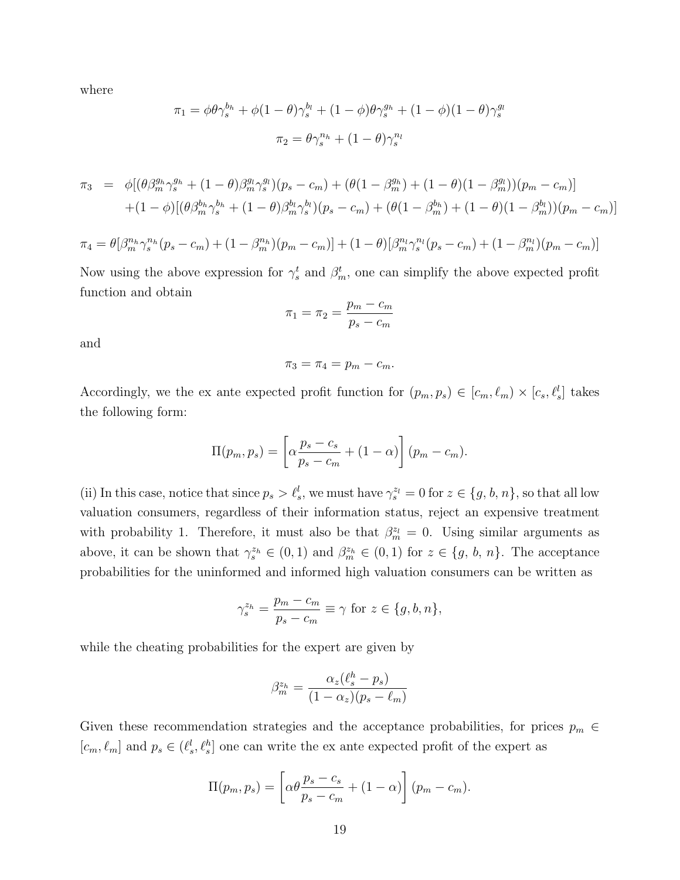where

$$
\pi_1 = \phi \theta \gamma_s^{b_h} + \phi (1 - \theta) \gamma_s^{b_l} + (1 - \phi) \theta \gamma_s^{g_h} + (1 - \phi) (1 - \theta) \gamma_s^{g_l}
$$

$$
\pi_2 = \theta \gamma_s^{n_h} + (1 - \theta) \gamma_s^{n_l}
$$

$$
\pi_3 = \phi [(\theta \beta_m^{g_h} \gamma_s^{g_h} + (1 - \theta) \beta_m^{g_l} \gamma_s^{g_l})(p_s - c_m) + (\theta (1 - \beta_m^{g_h}) + (1 - \theta)(1 - \beta_m^{g_l})) (p_m - c_m)] + (1 - \phi) [(\theta \beta_m^{b_h} \gamma_s^{b_h} + (1 - \theta) \beta_m^{b_l} \gamma_s^{b_l})(p_s - c_m) + (\theta (1 - \beta_m^{b_h}) + (1 - \theta)(1 - \beta_m^{b_l})) (p_m - c_m)]
$$

 $\pi_4 = \theta[\beta_m^{n_h} \gamma_s^{n_h} (p_s - c_m) + (1 - \beta_m^{n_h}) (p_m - c_m)] + (1 - \theta)[\beta_m^{n_l} \gamma_s^{n_l} (p_s - c_m) + (1 - \beta_m^{n_l}) (p_m - c_m)]$ 

Now using the above expression for  $\gamma_s^t$  and  $\beta_m^t$ , one can simplify the above expected profit function and obtain

$$
\pi_1 = \pi_2 = \frac{p_m - c_m}{p_s - c_m}
$$

and

$$
\pi_3 = \pi_4 = p_m - c_m.
$$

Accordingly, we the ex ante expected profit function for  $(p_m, p_s) \in [c_m, \ell_m) \times [c_s, \ell_s]$  takes the following form:

$$
\Pi(p_m, p_s) = \left[\alpha \frac{p_s - c_s}{p_s - c_m} + (1 - \alpha)\right](p_m - c_m).
$$

(ii) In this case, notice that since  $p_s > \ell_s^l$ , we must have  $\gamma_s^{z_l} = 0$  for  $z \in \{g, b, n\}$ , so that all low valuation consumers, regardless of their information status, reject an expensive treatment with probability 1. Therefore, it must also be that  $\beta_m^{z_l} = 0$ . Using similar arguments as above, it can be shown that  $\gamma_s^{z_h} \in (0,1)$  and  $\beta_m^{z_h} \in (0,1)$  for  $z \in \{g, b, n\}$ . The acceptance probabilities for the uninformed and informed high valuation consumers can be written as

$$
\gamma_s^{z_h} = \frac{p_m - c_m}{p_s - c_m} \equiv \gamma \text{ for } z \in \{g, b, n\},\
$$

while the cheating probabilities for the expert are given by

$$
\beta_m^{z_h} = \frac{\alpha_z(\ell_s^h - p_s)}{(1 - \alpha_z)(p_s - \ell_m)}
$$

Given these recommendation strategies and the acceptance probabilities, for prices  $p_m \in$  $[c_m, \ell_m]$  and  $p_s \in (\ell_s^l, \ell_s^h]$  one can write the ex ante expected profit of the expert as

$$
\Pi(p_m, p_s) = \left[\alpha \theta \frac{p_s - c_s}{p_s - c_m} + (1 - \alpha)\right] (p_m - c_m).
$$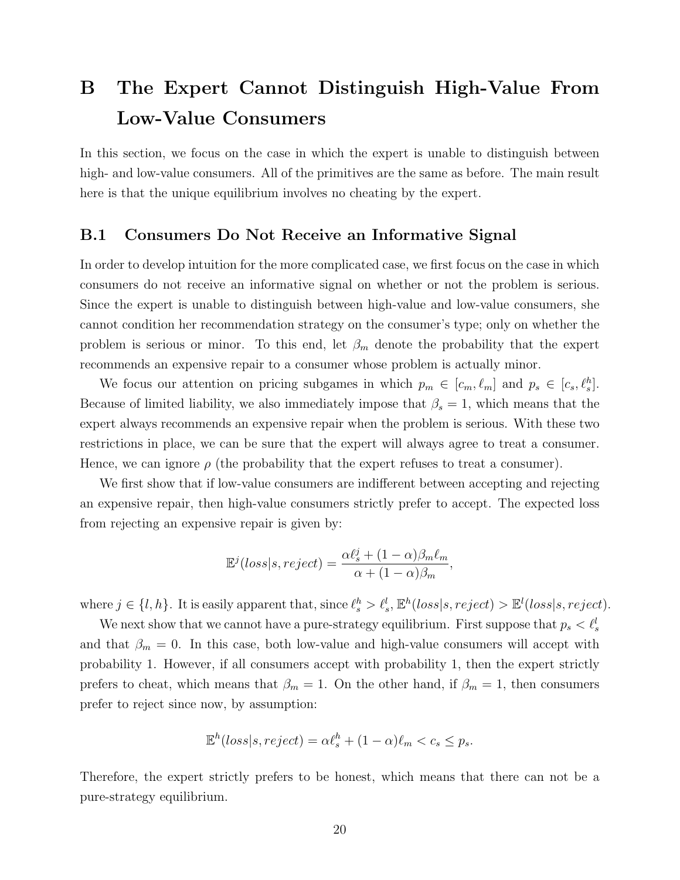## <span id="page-19-0"></span>B The Expert Cannot Distinguish High-Value From Low-Value Consumers

In this section, we focus on the case in which the expert is unable to distinguish between high- and low-value consumers. All of the primitives are the same as before. The main result here is that the unique equilibrium involves no cheating by the expert.

#### B.1 Consumers Do Not Receive an Informative Signal

In order to develop intuition for the more complicated case, we first focus on the case in which consumers do not receive an informative signal on whether or not the problem is serious. Since the expert is unable to distinguish between high-value and low-value consumers, she cannot condition her recommendation strategy on the consumer's type; only on whether the problem is serious or minor. To this end, let  $\beta_m$  denote the probability that the expert recommends an expensive repair to a consumer whose problem is actually minor.

We focus our attention on pricing subgames in which  $p_m \in [c_m, \ell_m]$  and  $p_s \in [c_s, \ell_s^h]$ . Because of limited liability, we also immediately impose that  $\beta_s = 1$ , which means that the expert always recommends an expensive repair when the problem is serious. With these two restrictions in place, we can be sure that the expert will always agree to treat a consumer. Hence, we can ignore  $\rho$  (the probability that the expert refuses to treat a consumer).

We first show that if low-value consumers are indifferent between accepting and rejecting an expensive repair, then high-value consumers strictly prefer to accept. The expected loss from rejecting an expensive repair is given by:

$$
\mathbb{E}^{j}(loss|s, reject) = \frac{\alpha \ell_s^j + (1 - \alpha)\beta_m \ell_m}{\alpha + (1 - \alpha)\beta_m},
$$

where  $j \in \{l, h\}$ . It is easily apparent that, since  $\ell_s^h > \ell_s^l$ ,  $\mathbb{E}^h(\text{loss}|s, \text{reject}) > \mathbb{E}^l(\text{loss}|s, \text{reject})$ .

We next show that we cannot have a pure-strategy equilibrium. First suppose that  $p_s < \ell_s^l$ and that  $\beta_m = 0$ . In this case, both low-value and high-value consumers will accept with probability 1. However, if all consumers accept with probability 1, then the expert strictly prefers to cheat, which means that  $\beta_m = 1$ . On the other hand, if  $\beta_m = 1$ , then consumers prefer to reject since now, by assumption:

$$
\mathbb{E}^h(\text{loss}|s,\text{reject}) = \alpha \ell_s^h + (1-\alpha)\ell_m < c_s \le p_s.
$$

Therefore, the expert strictly prefers to be honest, which means that there can not be a pure-strategy equilibrium.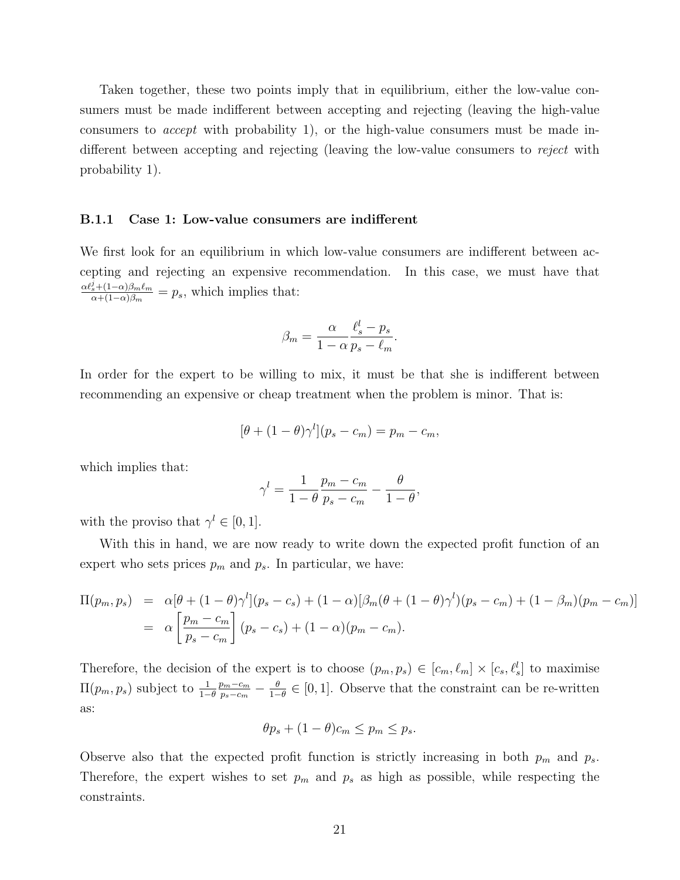Taken together, these two points imply that in equilibrium, either the low-value consumers must be made indifferent between accepting and rejecting (leaving the high-value consumers to accept with probability 1), or the high-value consumers must be made indifferent between accepting and rejecting (leaving the low-value consumers to reject with probability 1).

#### B.1.1 Case 1: Low-value consumers are indifferent

We first look for an equilibrium in which low-value consumers are indifferent between accepting and rejecting an expensive recommendation. In this case, we must have that  $\alpha \ell_s^j + (1-\alpha)\beta_m \ell_m$  $\frac{a_{s}^{s}+(1-\alpha)\beta_{m}\ell_{m}}{\alpha+(1-\alpha)\beta_{m}}=p_{s}$ , which implies that:

$$
\beta_m = \frac{\alpha}{1 - \alpha} \frac{\ell_s^l - p_s}{p_s - \ell_m}.
$$

In order for the expert to be willing to mix, it must be that she is indifferent between recommending an expensive or cheap treatment when the problem is minor. That is:

$$
[\theta + (1 - \theta)\gamma^{l}](p_s - c_m) = p_m - c_m,
$$

which implies that:

$$
\gamma^l = \frac{1}{1-\theta} \frac{p_m - c_m}{p_s - c_m} - \frac{\theta}{1-\theta},
$$

with the proviso that  $\gamma^l \in [0,1]$ .

With this in hand, we are now ready to write down the expected profit function of an expert who sets prices  $p_m$  and  $p_s$ . In particular, we have:

$$
\Pi(p_m, p_s) = \alpha [\theta + (1 - \theta)\gamma^l](p_s - c_s) + (1 - \alpha)[\beta_m(\theta + (1 - \theta)\gamma^l)(p_s - c_m) + (1 - \beta_m)(p_m - c_m)]
$$
  
=  $\alpha \left[ \frac{p_m - c_m}{p_s - c_m} \right](p_s - c_s) + (1 - \alpha)(p_m - c_m).$ 

Therefore, the decision of the expert is to choose  $(p_m, p_s) \in [c_m, \ell_m] \times [c_s, \ell_s]$  to maximise  $\Pi(p_m, p_s)$  subject to  $\frac{1}{1-\theta}$  $p_m-c_m$  $\frac{p_m-c_m}{p_s-c_m} - \frac{\theta}{1-\theta}$  $\frac{\theta}{1-\theta} \in [0,1].$  Observe that the constraint can be re-written as:

$$
\theta p_s + (1 - \theta)c_m \le p_m \le p_s.
$$

Observe also that the expected profit function is strictly increasing in both  $p_m$  and  $p_s$ . Therefore, the expert wishes to set  $p_m$  and  $p_s$  as high as possible, while respecting the constraints.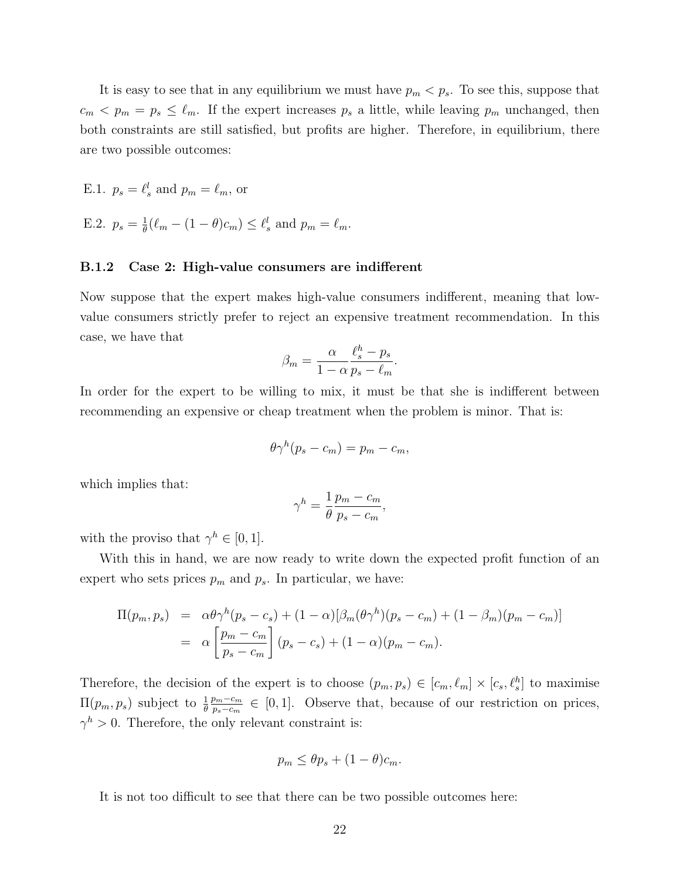It is easy to see that in any equilibrium we must have  $p_m < p_s$ . To see this, suppose that  $c_m < p_m = p_s \leq \ell_m$ . If the expert increases  $p_s$  a little, while leaving  $p_m$  unchanged, then both constraints are still satisfied, but profits are higher. Therefore, in equilibrium, there are two possible outcomes:

E.1. 
$$
p_s = \ell_s^l
$$
 and  $p_m = \ell_m$ , or

E.2.  $p_s = \frac{1}{\theta}$  $\frac{1}{\theta}(\ell_m - (1 - \theta)c_m) \leq \ell_s^l$  and  $p_m = \ell_m$ .

#### B.1.2 Case 2: High-value consumers are indifferent

Now suppose that the expert makes high-value consumers indifferent, meaning that lowvalue consumers strictly prefer to reject an expensive treatment recommendation. In this case, we have that

$$
\beta_m = \frac{\alpha}{1 - \alpha} \frac{\ell_s^h - p_s}{p_s - \ell_m}.
$$

In order for the expert to be willing to mix, it must be that she is indifferent between recommending an expensive or cheap treatment when the problem is minor. That is:

$$
\theta \gamma^h (p_s - c_m) = p_m - c_m,
$$

which implies that:

$$
\gamma^h = \frac{1}{\theta} \frac{p_m - c_m}{p_s - c_m}
$$

,

with the proviso that  $\gamma^h \in [0,1]$ .

With this in hand, we are now ready to write down the expected profit function of an expert who sets prices  $p_m$  and  $p_s$ . In particular, we have:

$$
\Pi(p_m, p_s) = \alpha \theta \gamma^h (p_s - c_s) + (1 - \alpha) [\beta_m (\theta \gamma^h)(p_s - c_m) + (1 - \beta_m)(p_m - c_m)]
$$
  
=  $\alpha \left[ \frac{p_m - c_m}{p_s - c_m} \right] (p_s - c_s) + (1 - \alpha) (p_m - c_m).$ 

Therefore, the decision of the expert is to choose  $(p_m, p_s) \in [c_m, \ell_m] \times [c_s, \ell_s^h]$  to maximise  $\Pi(p_m, p_s)$  subject to  $\frac{1}{\theta}$  $p_m-c_m$  $\frac{p_m - c_m}{p_s - c_m} \in [0, 1].$  Observe that, because of our restriction on prices,  $\gamma^h > 0$ . Therefore, the only relevant constraint is:

$$
p_m \le \theta p_s + (1 - \theta)c_m.
$$

It is not too difficult to see that there can be two possible outcomes here: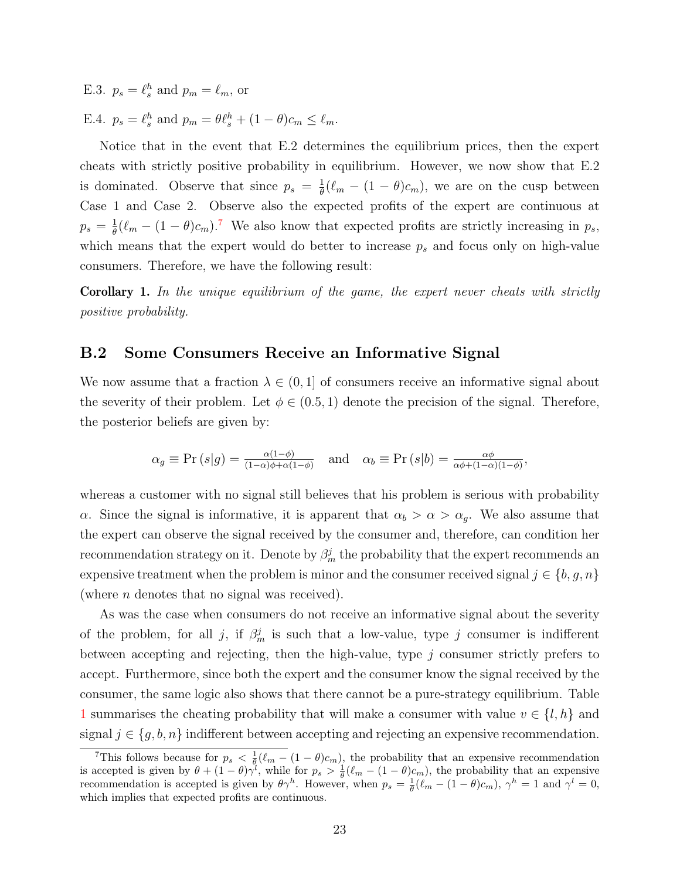E.3.  $p_s = \ell_s^h$  and  $p_m = \ell_m$ , or E.4.  $p_s = \ell_s^h$  and  $p_m = \theta \ell_s^h + (1 - \theta)c_m \leq \ell_m$ .

Notice that in the event that E.2 determines the equilibrium prices, then the expert cheats with strictly positive probability in equilibrium. However, we now show that E.2 is dominated. Observe that since  $p_s = \frac{1}{\theta}$  $\frac{1}{\theta}(\ell_m - (1 - \theta)c_m)$ , we are on the cusp between Case 1 and Case 2. Observe also the expected profits of the expert are continuous at  $p_s = \frac{1}{\theta}$  $\frac{1}{\theta}$ ( $\ell_m$  – (1 –  $\theta$ ) $c_m$ ).<sup>[7](#page-22-0)</sup> We also know that expected profits are strictly increasing in  $p_s$ , which means that the expert would do better to increase  $p_s$  and focus only on high-value consumers. Therefore, we have the following result:

Corollary 1. In the unique equilibrium of the game, the expert never cheats with strictly positive probability.

### B.2 Some Consumers Receive an Informative Signal

We now assume that a fraction  $\lambda \in (0,1]$  of consumers receive an informative signal about the severity of their problem. Let  $\phi \in (0.5, 1)$  denote the precision of the signal. Therefore, the posterior beliefs are given by:

$$
\alpha_g \equiv \Pr(s|g) = \frac{\alpha(1-\phi)}{(1-\alpha)\phi + \alpha(1-\phi)}
$$
 and  $\alpha_b \equiv \Pr(s|b) = \frac{\alpha\phi}{\alpha\phi + (1-\alpha)(1-\phi)}$ ,

whereas a customer with no signal still believes that his problem is serious with probability α. Since the signal is informative, it is apparent that  $\alpha_b > \alpha > \alpha_g$ . We also assume that the expert can observe the signal received by the consumer and, therefore, can condition her recommendation strategy on it. Denote by  $\beta_m^j$  the probability that the expert recommends an expensive treatment when the problem is minor and the consumer received signal  $j \in \{b, g, n\}$ (where  $n$  denotes that no signal was received).

As was the case when consumers do not receive an informative signal about the severity of the problem, for all j, if  $\beta_m^j$  is such that a low-value, type j consumer is indifferent between accepting and rejecting, then the high-value, type  $j$  consumer strictly prefers to accept. Furthermore, since both the expert and the consumer know the signal received by the consumer, the same logic also shows that there cannot be a pure-strategy equilibrium. Table [1](#page-23-0) summarises the cheating probability that will make a consumer with value  $v \in \{l, h\}$  and signal  $j \in \{g, b, n\}$  indifferent between accepting and rejecting an expensive recommendation.

<span id="page-22-0"></span><sup>&</sup>lt;sup>7</sup>This follows because for  $p_s < \frac{1}{\theta}(\ell_m - (1-\theta)c_m)$ , the probability that an expensive recommendation is accepted is given by  $\theta + (1 - \theta)\gamma^l$ , while for  $p_s > \frac{1}{\theta}(\ell_m - (1 - \theta)c_m)$ , the probability that an expensive recommendation is accepted is given by  $\theta \gamma^h$ . However, when  $p_s = \frac{1}{\theta} (\ell_m - (1 - \theta)c_m)$ ,  $\gamma^h = 1$  and  $\gamma^l = 0$ , which implies that expected profits are continuous.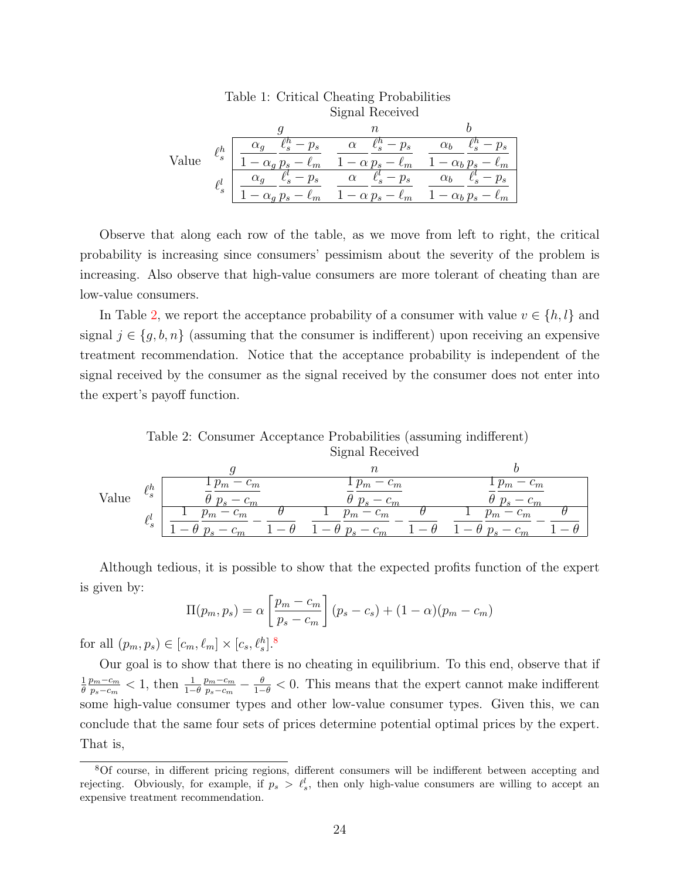|       | оh |                         | $\frac{p_s}{s}$ $\alpha$ $\ell_s^h-p_s$                                                                                                     | $\alpha_b$                |
|-------|----|-------------------------|---------------------------------------------------------------------------------------------------------------------------------------------|---------------------------|
| Value |    |                         | $\overline{\phantom{0} -\alpha_g}\,\overline{p_s-\ell_m} \quad \overline{1-\alpha}\,\overline{p_s-\ell_m}$                                  | $1-\alpha_b p_s - \ell_m$ |
|       |    | $\alpha_g$              | $\frac{\ell_s^l - p_s}{\ell_s^l - p_s}$ $\alpha$ $\frac{\ell_s^l - p_s}{\ell_s^l - p_s}$ $\alpha_b$ $\frac{\ell_s^l - p_s}{\ell_s^l - p_s}$ |                           |
|       |    | $\overline{p_s-\ell_m}$ | $\frac{1-\alpha}{p_s-\ell_m}$                                                                                                               |                           |

#### <span id="page-23-0"></span>Table 1: Critical Cheating Probabilities Signal Received

Observe that along each row of the table, as we move from left to right, the critical probability is increasing since consumers' pessimism about the severity of the problem is increasing. Also observe that high-value consumers are more tolerant of cheating than are low-value consumers.

In Table [2,](#page-23-1) we report the acceptance probability of a consumer with value  $v \in \{h, l\}$  and signal  $j \in \{g, b, n\}$  (assuming that the consumer is indifferent) upon receiving an expensive treatment recommendation. Notice that the acceptance probability is independent of the signal received by the consumer as the signal received by the consumer does not enter into the expert's payoff function.

<span id="page-23-1"></span>Table 2: Consumer Acceptance Probabilities (assuming indifferent) Signal Received

| Value | ph.<br>$\sim_{\mathcal{S}}$ | $\scriptstyle\sigma m$<br>m<br>$p_s$<br>$\mathfrak{c}_m$ | $\mathfrak{m}$<br>$\nu m$<br>$\mathfrak{m}$ | m<br>$\mathsf{\scriptstyle\sigma} m$<br>$\mathfrak{c}_m$<br>$\nu_s$ |
|-------|-----------------------------|----------------------------------------------------------|---------------------------------------------|---------------------------------------------------------------------|
|       | N<br>$\sim_{\mathcal{S}}$   | $p_m$<br>$-c_m$<br>$c_m$                                 | $p_m$<br>$-c_m$<br>$1 - \theta p_s - c_m$   | $p_m$<br>$-c_m$<br>$-c_m$<br>$-\theta p_s$                          |

Although tedious, it is possible to show that the expected profits function of the expert is given by:

$$
\Pi(p_m, p_s) = \alpha \left[ \frac{p_m - c_m}{p_s - c_m} \right] (p_s - c_s) + (1 - \alpha)(p_m - c_m)
$$

for all  $(p_m, p_s) \in [c_m, \ell_m] \times [c_s, \ell_s^h]$ .<sup>[8](#page-23-2)</sup>

Our goal is to show that there is no cheating in equilibrium. To this end, observe that if 1 θ  $p_m-c_m$  $\frac{p_m-c_m}{p_s-c_m} < 1$ , then  $\frac{1}{1-\theta}$  $p_m-c_m$  $\frac{\rho_m - c_m}{p_s - c_m} - \frac{\theta}{1 - \theta} < 0$ . This means that the expert cannot make indifferent some high-value consumer types and other low-value consumer types. Given this, we can conclude that the same four sets of prices determine potential optimal prices by the expert. That is,

<span id="page-23-2"></span><sup>8</sup>Of course, in different pricing regions, different consumers will be indifferent between accepting and rejecting. Obviously, for example, if  $p_s > \ell_s^l$ , then only high-value consumers are willing to accept an expensive treatment recommendation.